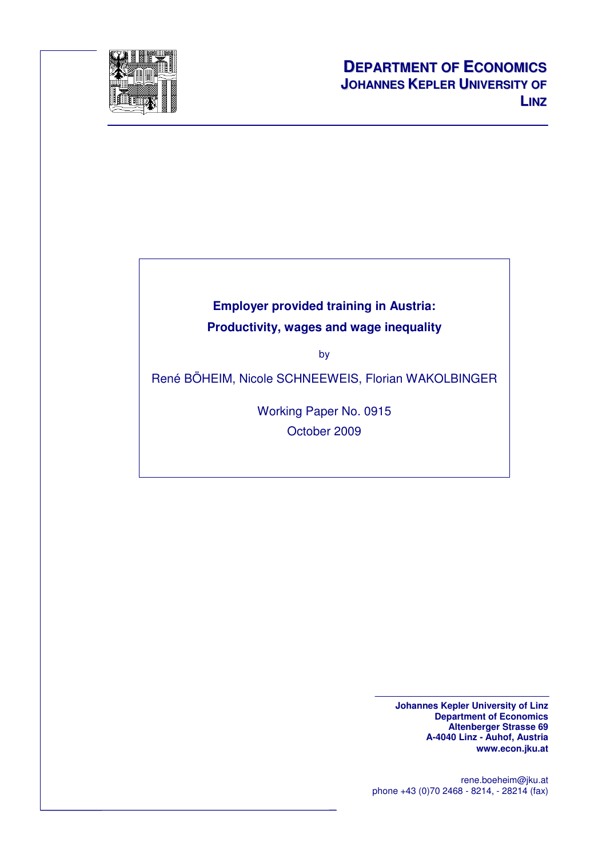

# **Employer provided training in Austria: Productivity, wages and wage inequality**

by

René BÖHEIM, Nicole SCHNEEWEIS, Florian WAKOLBINGER

Working Paper No. 0915 October 2009

> **Johannes Kepler University of Linz Department of Economics Altenberger Strasse 69 A-4040 Linz - Auhof, Austria www.econ.jku.at**

rene.boeheim@jku.at phone +43 (0)70 2468 - 8214, - 28214 (fax)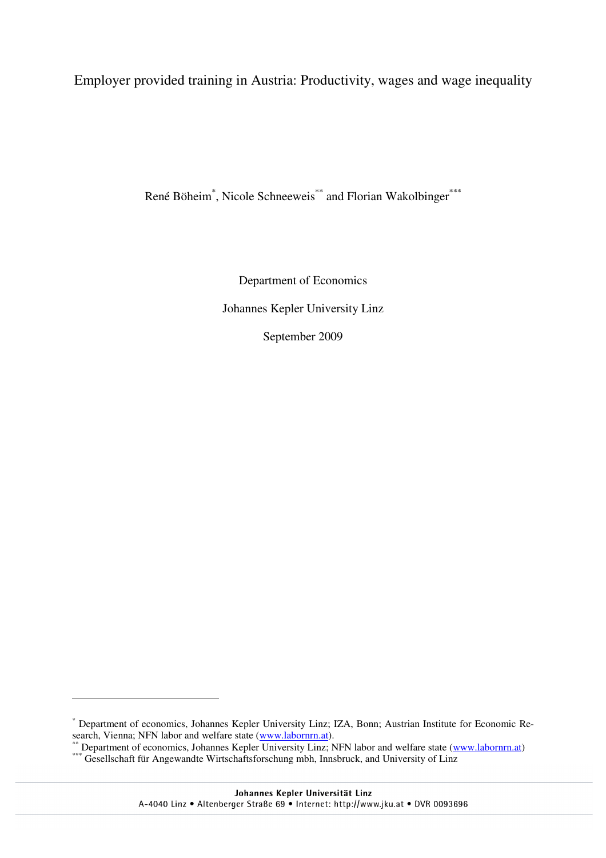Employer provided training in Austria: Productivity, wages and wage inequality

René Böheim<sup>\*</sup>, Nicole Schneeweis<sup>\*\*</sup> and Florian Wakolbinger<sup>\*\*\*</sup>

Department of Economics Johannes Kepler University Linz September 2009

 $\overline{a}$ 

<sup>\*</sup> Department of economics, Johannes Kepler University Linz; IZA, Bonn; Austrian Institute for Economic Research, Vienna; NFN labor and welfare state (www.labornrn.at).

<sup>\*\*</sup> Department of economics, Johannes Kepler University Linz; NFN labor and welfare state (www.labornrn.at)

<sup>\*\*\*</sup> Gesellschaft für Angewandte Wirtschaftsforschung mbh, Innsbruck, and University of Linz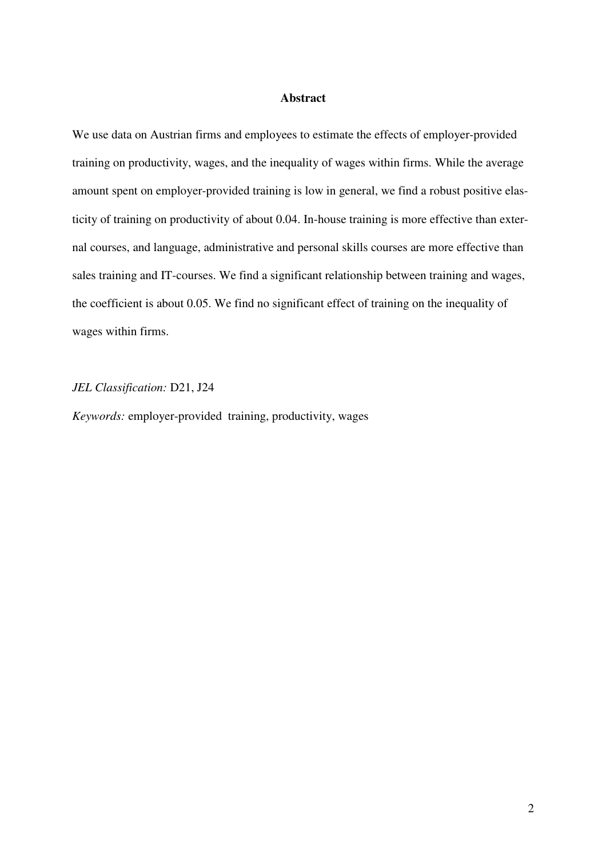### **Abstract**

We use data on Austrian firms and employees to estimate the effects of employer-provided training on productivity, wages, and the inequality of wages within firms. While the average amount spent on employer-provided training is low in general, we find a robust positive elasticity of training on productivity of about 0.04. In-house training is more effective than external courses, and language, administrative and personal skills courses are more effective than sales training and IT-courses. We find a significant relationship between training and wages, the coefficient is about 0.05. We find no significant effect of training on the inequality of wages within firms.

## *JEL Classification:* D21, J24

*Keywords:* employer-provided training, productivity, wages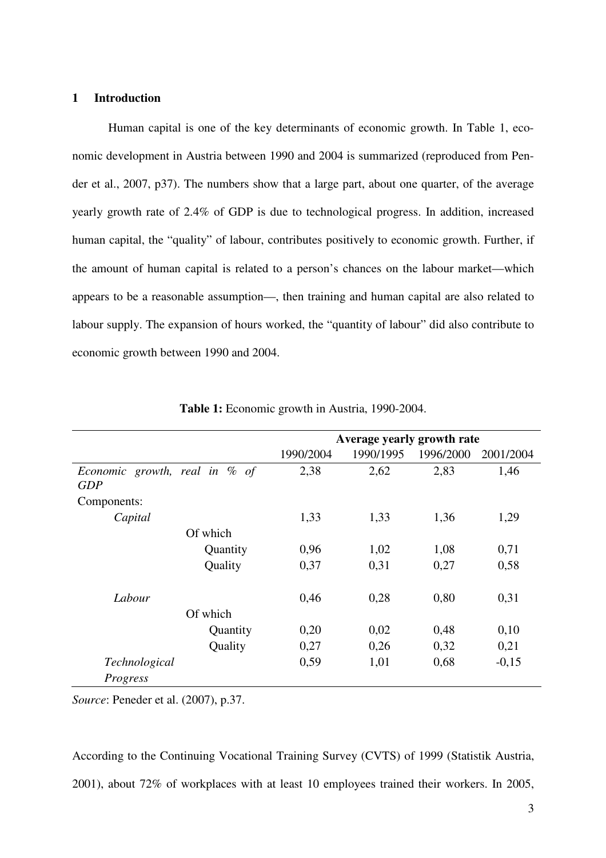### **1 Introduction**

Human capital is one of the key determinants of economic growth. In Table 1, economic development in Austria between 1990 and 2004 is summarized (reproduced from Pender et al., 2007, p37). The numbers show that a large part, about one quarter, of the average yearly growth rate of 2.4% of GDP is due to technological progress. In addition, increased human capital, the "quality" of labour, contributes positively to economic growth. Further, if the amount of human capital is related to a person's chances on the labour market—which appears to be a reasonable assumption—, then training and human capital are also related to labour supply. The expansion of hours worked, the "quantity of labour" did also contribute to economic growth between 1990 and 2004.

|                                             |          |           | Average yearly growth rate |           |           |
|---------------------------------------------|----------|-----------|----------------------------|-----------|-----------|
|                                             |          | 1990/2004 | 1990/1995                  | 1996/2000 | 2001/2004 |
| Economic growth, real in % of<br><b>GDP</b> |          | 2,38      | 2,62                       | 2,83      | 1,46      |
| Components:                                 |          |           |                            |           |           |
| Capital                                     |          | 1,33      | 1,33                       | 1,36      | 1,29      |
| Of which                                    |          |           |                            |           |           |
|                                             | Quantity | 0,96      | 1,02                       | 1,08      | 0,71      |
| Quality                                     |          | 0,37      | 0,31                       | 0,27      | 0,58      |
| Labour                                      |          | 0,46      | 0,28                       | 0,80      | 0,31      |
| Of which                                    |          |           |                            |           |           |
|                                             | Quantity | 0,20      | 0,02                       | 0,48      | 0,10      |
|                                             | Quality  | 0,27      | 0,26                       | 0,32      | 0,21      |
| Technological                               |          | 0,59      | 1,01                       | 0,68      | $-0,15$   |
| Progress                                    |          |           |                            |           |           |

**Table 1:** Economic growth in Austria, 1990-2004.

*Source*: Peneder et al. (2007), p.37.

According to the Continuing Vocational Training Survey (CVTS) of 1999 (Statistik Austria, 2001), about 72% of workplaces with at least 10 employees trained their workers. In 2005,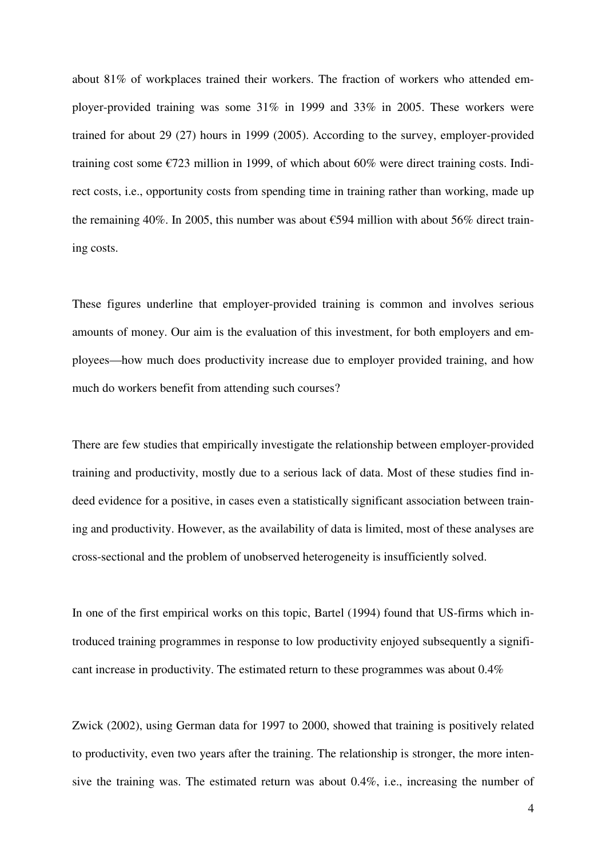about 81% of workplaces trained their workers. The fraction of workers who attended employer-provided training was some 31% in 1999 and 33% in 2005. These workers were trained for about 29 (27) hours in 1999 (2005). According to the survey, employer-provided training cost some €723 million in 1999, of which about 60% were direct training costs. Indirect costs, i.e., opportunity costs from spending time in training rather than working, made up the remaining 40%. In 2005, this number was about  $\epsilon$ 594 million with about 56% direct training costs.

These figures underline that employer-provided training is common and involves serious amounts of money. Our aim is the evaluation of this investment, for both employers and employees—how much does productivity increase due to employer provided training, and how much do workers benefit from attending such courses?

There are few studies that empirically investigate the relationship between employer-provided training and productivity, mostly due to a serious lack of data. Most of these studies find indeed evidence for a positive, in cases even a statistically significant association between training and productivity. However, as the availability of data is limited, most of these analyses are cross-sectional and the problem of unobserved heterogeneity is insufficiently solved.

In one of the first empirical works on this topic, Bartel (1994) found that US-firms which introduced training programmes in response to low productivity enjoyed subsequently a significant increase in productivity. The estimated return to these programmes was about 0.4%

Zwick (2002), using German data for 1997 to 2000, showed that training is positively related to productivity, even two years after the training. The relationship is stronger, the more intensive the training was. The estimated return was about 0.4%, i.e., increasing the number of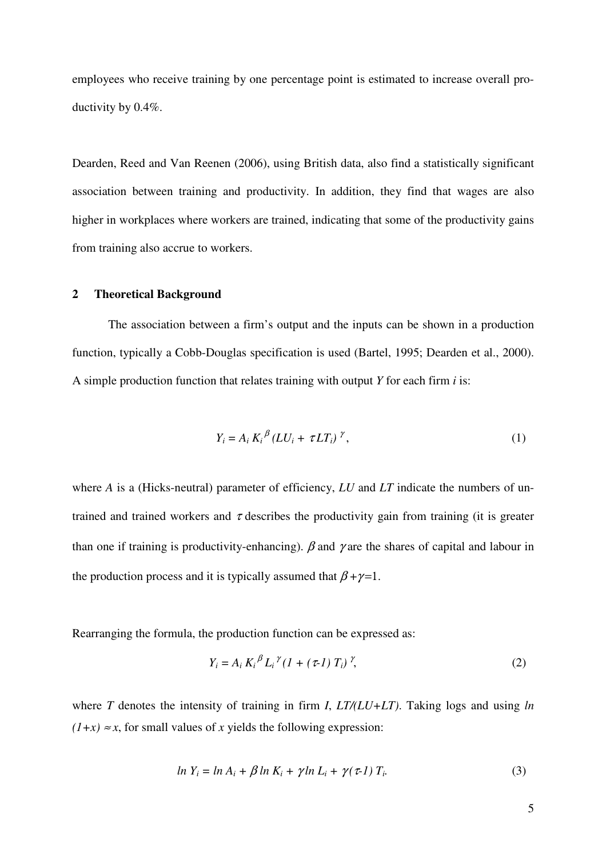employees who receive training by one percentage point is estimated to increase overall productivity by 0.4%.

Dearden, Reed and Van Reenen (2006), using British data, also find a statistically significant association between training and productivity. In addition, they find that wages are also higher in workplaces where workers are trained, indicating that some of the productivity gains from training also accrue to workers.

#### **2 Theoretical Background**

The association between a firm's output and the inputs can be shown in a production function, typically a Cobb-Douglas specification is used (Bartel, 1995; Dearden et al., 2000). A simple production function that relates training with output *Y* for each firm *i* is:

$$
Y_i = A_i K_i^{\beta} (LU_i + \tau LT_i)^{\gamma}, \qquad (1)
$$

where *A* is a (Hicks-neutral) parameter of efficiency, *LU* and *LT* indicate the numbers of untrained and trained workers and  $\tau$  describes the productivity gain from training (it is greater than one if training is productivity-enhancing).  $\beta$  and  $\gamma$  are the shares of capital and labour in the production process and it is typically assumed that  $\beta + \gamma = 1$ .

Rearranging the formula, the production function can be expressed as:

$$
Y_i = A_i K_i^{\beta} L_i^{\gamma} (1 + (\tau - 1) T_i)^{\gamma}, \tag{2}
$$

where *T* denotes the intensity of training in firm *I*, *LT/(LU+LT)*. Taking logs and using *ln*   $(1+x) \approx x$ , for small values of *x* yields the following expression:

$$
\ln Y_i = \ln A_i + \beta \ln K_i + \gamma \ln L_i + \gamma (\tau - 1) T_i. \tag{3}
$$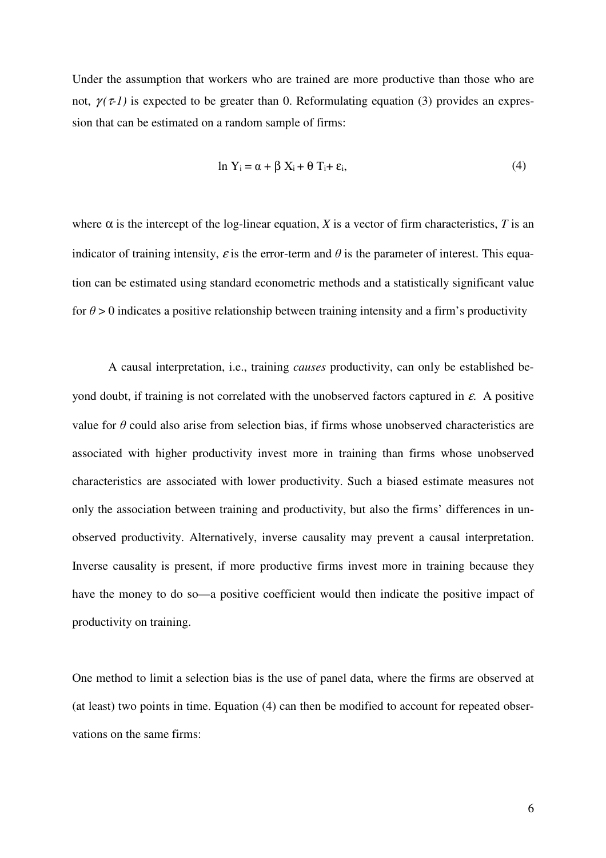Under the assumption that workers who are trained are more productive than those who are not,  $\gamma(\tau)$  is expected to be greater than 0. Reformulating equation (3) provides an expression that can be estimated on a random sample of firms:

$$
\ln Y_i = \alpha + \beta X_i + \theta T_i + \varepsilon_i, \tag{4}
$$

where  $\alpha$  is the intercept of the log-linear equation, *X* is a vector of firm characteristics, *T* is an indicator of training intensity,  $\varepsilon$  is the error-term and  $\theta$  is the parameter of interest. This equation can be estimated using standard econometric methods and a statistically significant value for  $\theta > 0$  indicates a positive relationship between training intensity and a firm's productivity

A causal interpretation, i.e., training *causes* productivity, can only be established beyond doubt, if training is not correlated with the unobserved factors captured in  $\varepsilon$ . A positive value for  $\theta$  could also arise from selection bias, if firms whose unobserved characteristics are associated with higher productivity invest more in training than firms whose unobserved characteristics are associated with lower productivity. Such a biased estimate measures not only the association between training and productivity, but also the firms' differences in unobserved productivity. Alternatively, inverse causality may prevent a causal interpretation. Inverse causality is present, if more productive firms invest more in training because they have the money to do so—a positive coefficient would then indicate the positive impact of productivity on training.

One method to limit a selection bias is the use of panel data, where the firms are observed at (at least) two points in time. Equation (4) can then be modified to account for repeated observations on the same firms: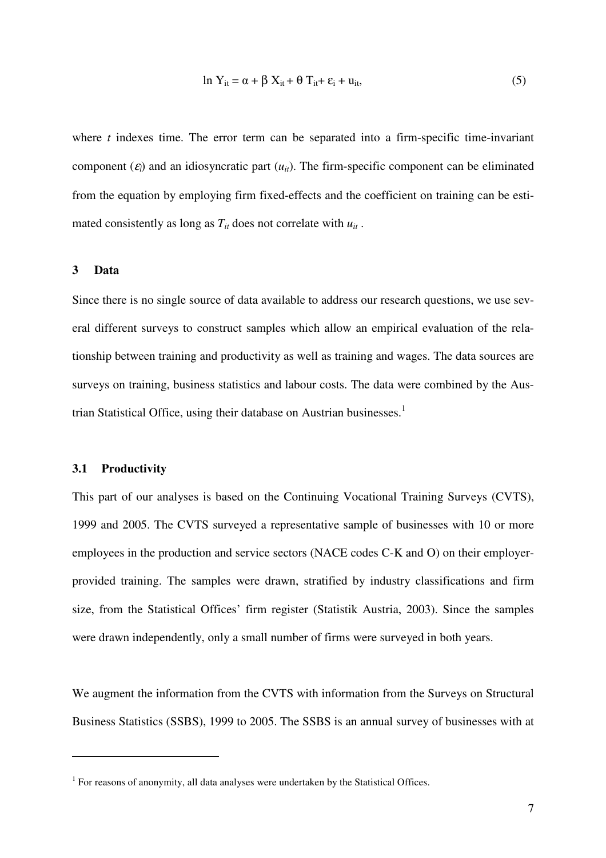$$
\ln Y_{it} = \alpha + \beta X_{it} + \theta T_{it} + \varepsilon_i + u_{it},\tag{5}
$$

where *t* indexes time. The error term can be separated into a firm-specific time-invariant component  $(\varepsilon_i)$  and an idiosyncratic part  $(u_i)$ . The firm-specific component can be eliminated from the equation by employing firm fixed-effects and the coefficient on training can be estimated consistently as long as  $T_{it}$  does not correlate with  $u_{it}$ .

#### **3 Data**

Since there is no single source of data available to address our research questions, we use several different surveys to construct samples which allow an empirical evaluation of the relationship between training and productivity as well as training and wages. The data sources are surveys on training, business statistics and labour costs. The data were combined by the Austrian Statistical Office, using their database on Austrian businesses.<sup>1</sup>

#### **3.1 Productivity**

 $\overline{a}$ 

This part of our analyses is based on the Continuing Vocational Training Surveys (CVTS), 1999 and 2005. The CVTS surveyed a representative sample of businesses with 10 or more employees in the production and service sectors (NACE codes C-K and O) on their employerprovided training. The samples were drawn, stratified by industry classifications and firm size, from the Statistical Offices' firm register (Statistik Austria, 2003). Since the samples were drawn independently, only a small number of firms were surveyed in both years.

We augment the information from the CVTS with information from the Surveys on Structural Business Statistics (SSBS), 1999 to 2005. The SSBS is an annual survey of businesses with at

 $1$  For reasons of anonymity, all data analyses were undertaken by the Statistical Offices.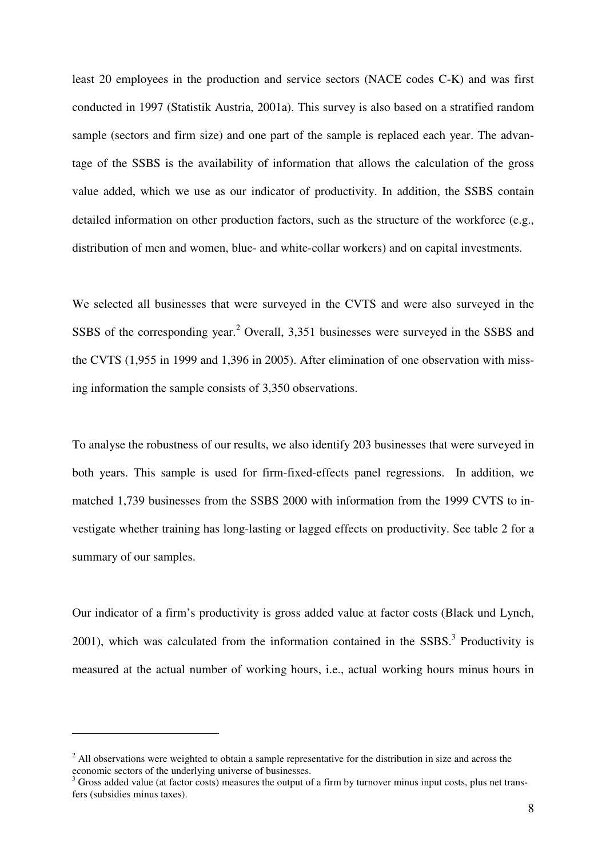least 20 employees in the production and service sectors (NACE codes C-K) and was first conducted in 1997 (Statistik Austria, 2001a). This survey is also based on a stratified random sample (sectors and firm size) and one part of the sample is replaced each year. The advantage of the SSBS is the availability of information that allows the calculation of the gross value added, which we use as our indicator of productivity. In addition, the SSBS contain detailed information on other production factors, such as the structure of the workforce (e.g., distribution of men and women, blue- and white-collar workers) and on capital investments.

We selected all businesses that were surveyed in the CVTS and were also surveyed in the SSBS of the corresponding year.<sup>2</sup> Overall, 3,351 businesses were surveyed in the SSBS and the CVTS (1,955 in 1999 and 1,396 in 2005). After elimination of one observation with missing information the sample consists of 3,350 observations.

To analyse the robustness of our results, we also identify 203 businesses that were surveyed in both years. This sample is used for firm-fixed-effects panel regressions. In addition, we matched 1,739 businesses from the SSBS 2000 with information from the 1999 CVTS to investigate whether training has long-lasting or lagged effects on productivity. See table 2 for a summary of our samples.

Our indicator of a firm's productivity is gross added value at factor costs (Black und Lynch,  $2001$ ), which was calculated from the information contained in the SSBS.<sup>3</sup> Productivity is measured at the actual number of working hours, i.e., actual working hours minus hours in

 $\overline{a}$ 

 $2$  All observations were weighted to obtain a sample representative for the distribution in size and across the economic sectors of the underlying universe of businesses.

 $3$  Gross added value (at factor costs) measures the output of a firm by turnover minus input costs, plus net transfers (subsidies minus taxes).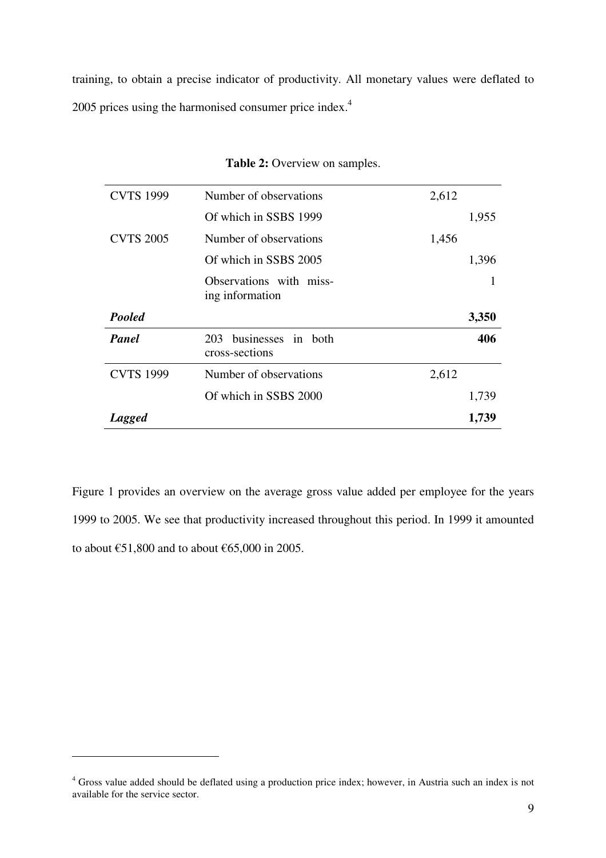training, to obtain a precise indicator of productivity. All monetary values were deflated to 2005 prices using the harmonised consumer price index.<sup>4</sup>

| <b>CVTS 1999</b> | Number of observations                     | 2,612 |
|------------------|--------------------------------------------|-------|
|                  | Of which in SSBS 1999                      | 1,955 |
| <b>CVTS 2005</b> | Number of observations                     | 1,456 |
|                  | Of which in SSBS 2005                      | 1,396 |
|                  | Observations with miss-<br>ing information |       |
| Pooled           |                                            | 3,350 |
| Panel            | 203 businesses in both<br>cross-sections   | 406   |
| <b>CVTS 1999</b> | Number of observations                     | 2,612 |
|                  | Of which in SSBS 2000                      | 1,739 |
| <b>Lagged</b>    |                                            | 1,739 |

## **Table 2:** Overview on samples.

Figure 1 provides an overview on the average gross value added per employee for the years 1999 to 2005. We see that productivity increased throughout this period. In 1999 it amounted to about  $\text{\textsterling}51,800$  and to about  $\text{\textsterling}65,000$  in 2005.

 $\overline{a}$ 

<sup>&</sup>lt;sup>4</sup> Gross value added should be deflated using a production price index; however, in Austria such an index is not available for the service sector.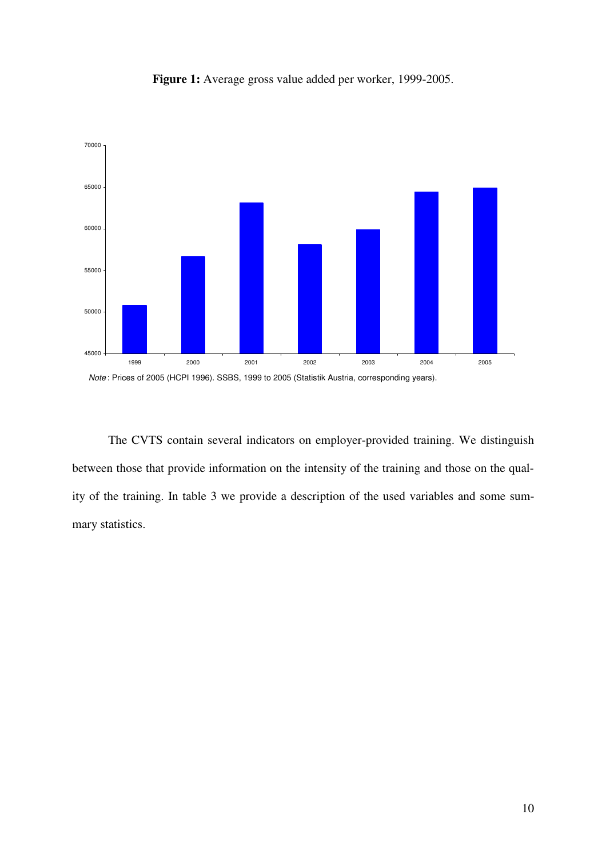

**Figure 1:** Average gross value added per worker, 1999-2005.

The CVTS contain several indicators on employer-provided training. We distinguish between those that provide information on the intensity of the training and those on the quality of the training. In table 3 we provide a description of the used variables and some summary statistics.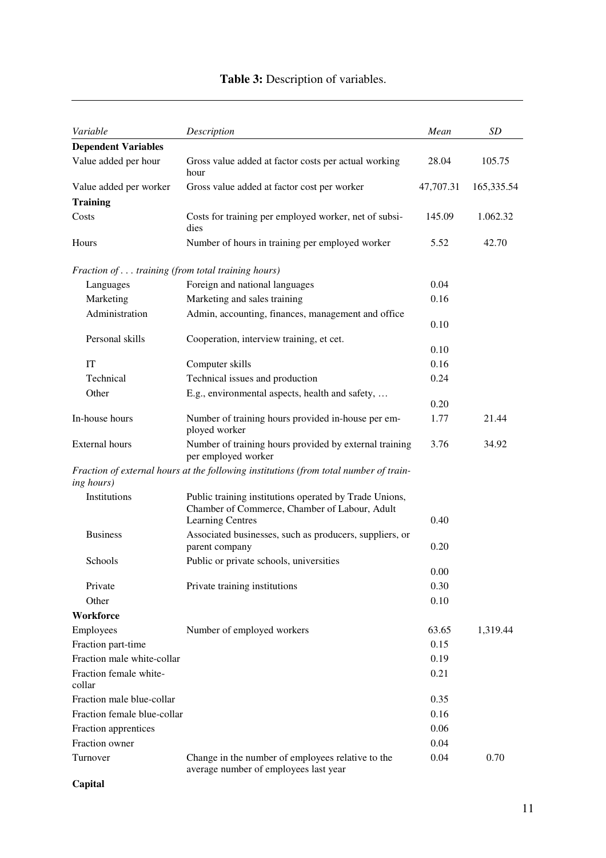| Variable                                         | Description                                                                                                                        | Mean      | <b>SD</b>  |
|--------------------------------------------------|------------------------------------------------------------------------------------------------------------------------------------|-----------|------------|
| <b>Dependent Variables</b>                       |                                                                                                                                    |           |            |
| Value added per hour                             | Gross value added at factor costs per actual working<br>hour                                                                       | 28.04     | 105.75     |
| Value added per worker                           | Gross value added at factor cost per worker                                                                                        | 47,707.31 | 165,335.54 |
| <b>Training</b>                                  |                                                                                                                                    |           |            |
| Costs                                            | Costs for training per employed worker, net of subsi-<br>dies                                                                      | 145.09    | 1.062.32   |
| Hours                                            | Number of hours in training per employed worker                                                                                    | 5.52      | 42.70      |
| Fraction of training (from total training hours) |                                                                                                                                    |           |            |
| Languages                                        | Foreign and national languages                                                                                                     | 0.04      |            |
| Marketing                                        | Marketing and sales training                                                                                                       | 0.16      |            |
| Administration                                   | Admin, accounting, finances, management and office                                                                                 | 0.10      |            |
| Personal skills                                  | Cooperation, interview training, et cet.                                                                                           |           |            |
|                                                  |                                                                                                                                    | 0.10      |            |
| <b>IT</b>                                        | Computer skills                                                                                                                    | 0.16      |            |
| Technical                                        | Technical issues and production                                                                                                    | 0.24      |            |
| Other                                            | E.g., environmental aspects, health and safety,                                                                                    | 0.20      |            |
| In-house hours                                   | Number of training hours provided in-house per em-<br>ployed worker                                                                | 1.77      | 21.44      |
| <b>External hours</b>                            | Number of training hours provided by external training<br>per employed worker                                                      | 3.76      | 34.92      |
| ing hours)                                       | Fraction of external hours at the following institutions (from total number of train-                                              |           |            |
| Institutions                                     | Public training institutions operated by Trade Unions,<br>Chamber of Commerce, Chamber of Labour, Adult<br><b>Learning Centres</b> | 0.40      |            |
| <b>Business</b>                                  | Associated businesses, such as producers, suppliers, or                                                                            |           |            |
|                                                  | parent company                                                                                                                     | 0.20      |            |
| Schools                                          | Public or private schools, universities                                                                                            |           |            |
|                                                  |                                                                                                                                    | 0.00      |            |
| Private                                          | Private training institutions                                                                                                      | 0.30      |            |
| Other                                            |                                                                                                                                    | 0.10      |            |
| Workforce                                        |                                                                                                                                    |           |            |
| Employees                                        | Number of employed workers                                                                                                         | 63.65     | 1,319.44   |
| Fraction part-time                               |                                                                                                                                    | 0.15      |            |
| Fraction male white-collar                       |                                                                                                                                    | 0.19      |            |
| Fraction female white-<br>collar                 |                                                                                                                                    | 0.21      |            |
| Fraction male blue-collar                        |                                                                                                                                    | 0.35      |            |
| Fraction female blue-collar                      |                                                                                                                                    | 0.16      |            |
| Fraction apprentices                             |                                                                                                                                    | 0.06      |            |
| Fraction owner                                   |                                                                                                                                    | 0.04      |            |
| Turnover                                         | Change in the number of employees relative to the                                                                                  | 0.04      | 0.70       |

average number of employees last year

# **Table 3:** Description of variables.

# **Capital**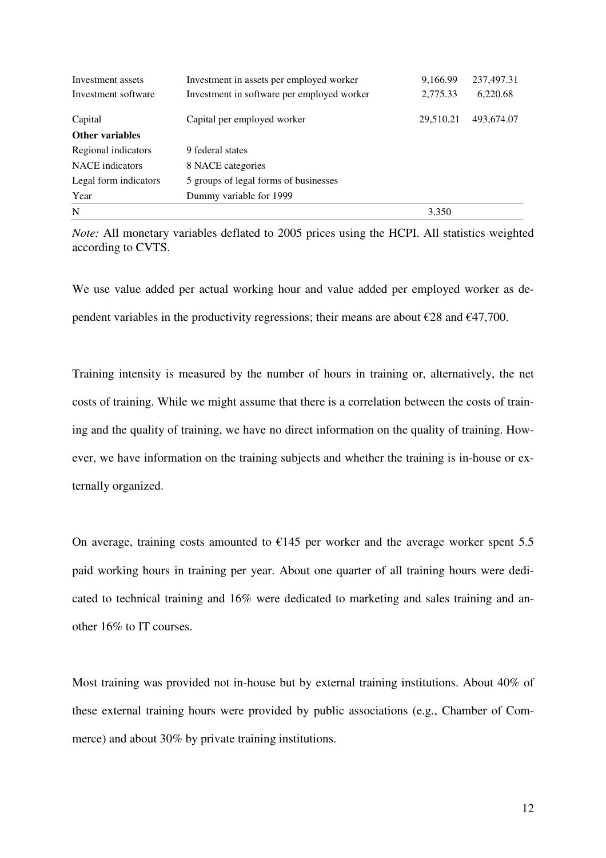| Investment assets      | Investment in assets per employed worker   | 9,166.99  | 237,497.31 |
|------------------------|--------------------------------------------|-----------|------------|
| Investment software    | Investment in software per employed worker | 2,775.33  | 6,220.68   |
| Capital                | Capital per employed worker                | 29,510.21 | 493,674.07 |
| <b>Other variables</b> |                                            |           |            |
| Regional indicators    | 9 federal states                           |           |            |
| <b>NACE</b> indicators | 8 NACE categories                          |           |            |
| Legal form indicators  | 5 groups of legal forms of businesses      |           |            |
| Year                   | Dummy variable for 1999                    |           |            |
| N                      |                                            | 3,350     |            |

*Note:* All monetary variables deflated to 2005 prices using the HCPI. All statistics weighted according to CVTS.

We use value added per actual working hour and value added per employed worker as dependent variables in the productivity regressions; their means are about  $\epsilon$ 28 and  $\epsilon$ 47,700.

Training intensity is measured by the number of hours in training or, alternatively, the net costs of training. While we might assume that there is a correlation between the costs of training and the quality of training, we have no direct information on the quality of training. However, we have information on the training subjects and whether the training is in-house or externally organized.

On average, training costs amounted to  $\epsilon$ 145 per worker and the average worker spent 5.5 paid working hours in training per year. About one quarter of all training hours were dedicated to technical training and 16% were dedicated to marketing and sales training and another 16% to IT courses.

Most training was provided not in-house but by external training institutions. About 40% of these external training hours were provided by public associations (e.g., Chamber of Commerce) and about 30% by private training institutions.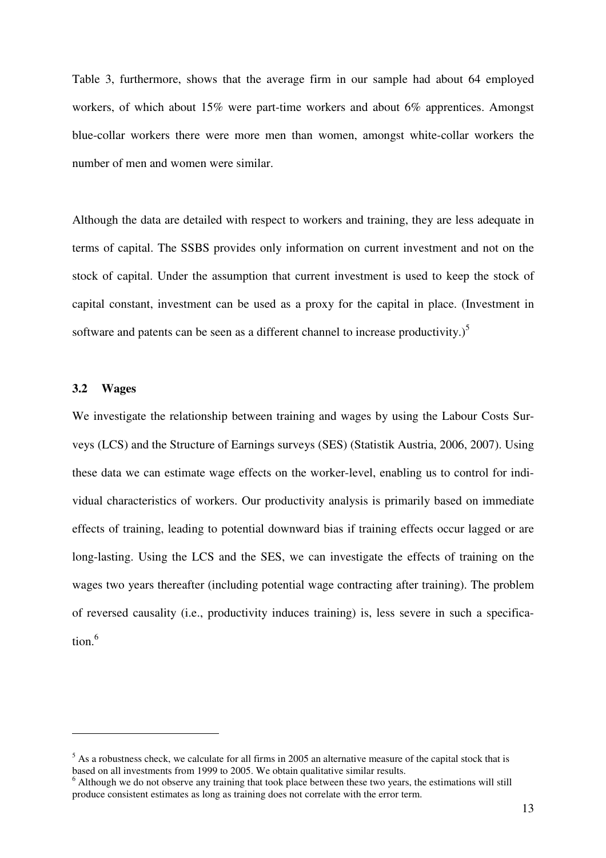Table 3, furthermore, shows that the average firm in our sample had about 64 employed workers, of which about 15% were part-time workers and about 6% apprentices. Amongst blue-collar workers there were more men than women, amongst white-collar workers the number of men and women were similar.

Although the data are detailed with respect to workers and training, they are less adequate in terms of capital. The SSBS provides only information on current investment and not on the stock of capital. Under the assumption that current investment is used to keep the stock of capital constant, investment can be used as a proxy for the capital in place. (Investment in software and patents can be seen as a different channel to increase productivity.) $<sup>5</sup>$ </sup>

### **3.2 Wages**

 $\overline{a}$ 

We investigate the relationship between training and wages by using the Labour Costs Surveys (LCS) and the Structure of Earnings surveys (SES) (Statistik Austria, 2006, 2007). Using these data we can estimate wage effects on the worker-level, enabling us to control for individual characteristics of workers. Our productivity analysis is primarily based on immediate effects of training, leading to potential downward bias if training effects occur lagged or are long-lasting. Using the LCS and the SES, we can investigate the effects of training on the wages two years thereafter (including potential wage contracting after training). The problem of reversed causality (i.e., productivity induces training) is, less severe in such a specification.<sup>6</sup>

 $<sup>5</sup>$  As a robustness check, we calculate for all firms in 2005 an alternative measure of the capital stock that is</sup> based on all investments from 1999 to 2005. We obtain qualitative similar results.

<sup>&</sup>lt;sup>6</sup> Although we do not observe any training that took place between these two years, the estimations will still produce consistent estimates as long as training does not correlate with the error term.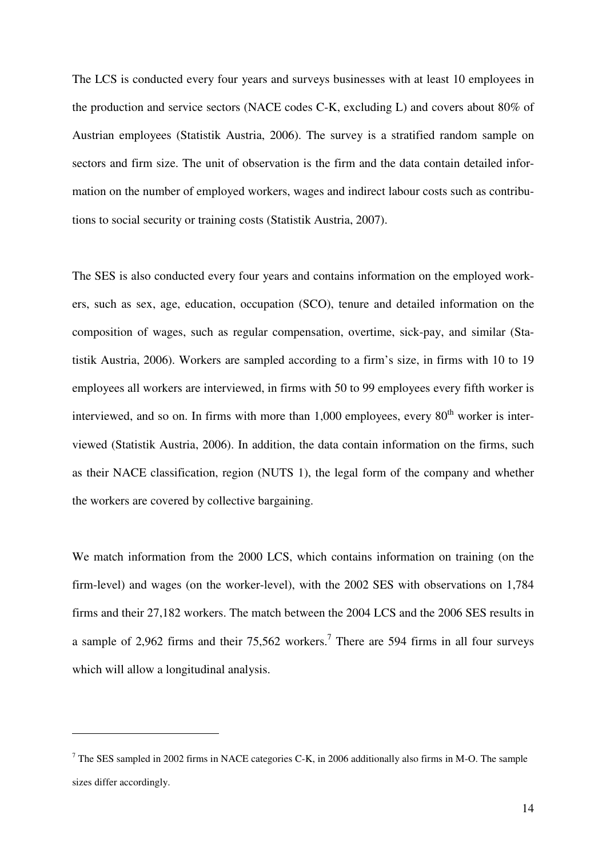The LCS is conducted every four years and surveys businesses with at least 10 employees in the production and service sectors (NACE codes C-K, excluding L) and covers about 80% of Austrian employees (Statistik Austria, 2006). The survey is a stratified random sample on sectors and firm size. The unit of observation is the firm and the data contain detailed information on the number of employed workers, wages and indirect labour costs such as contributions to social security or training costs (Statistik Austria, 2007).

The SES is also conducted every four years and contains information on the employed workers, such as sex, age, education, occupation (SCO), tenure and detailed information on the composition of wages, such as regular compensation, overtime, sick-pay, and similar (Statistik Austria, 2006). Workers are sampled according to a firm's size, in firms with 10 to 19 employees all workers are interviewed, in firms with 50 to 99 employees every fifth worker is interviewed, and so on. In firms with more than  $1,000$  employees, every  $80<sup>th</sup>$  worker is interviewed (Statistik Austria, 2006). In addition, the data contain information on the firms, such as their NACE classification, region (NUTS 1), the legal form of the company and whether the workers are covered by collective bargaining.

We match information from the 2000 LCS, which contains information on training (on the firm-level) and wages (on the worker-level), with the 2002 SES with observations on 1,784 firms and their 27,182 workers. The match between the 2004 LCS and the 2006 SES results in a sample of 2,962 firms and their  $75,562$  workers.<sup>7</sup> There are 594 firms in all four surveys which will allow a longitudinal analysis.

 $\overline{a}$ 

 $7$  The SES sampled in 2002 firms in NACE categories C-K, in 2006 additionally also firms in M-O. The sample sizes differ accordingly.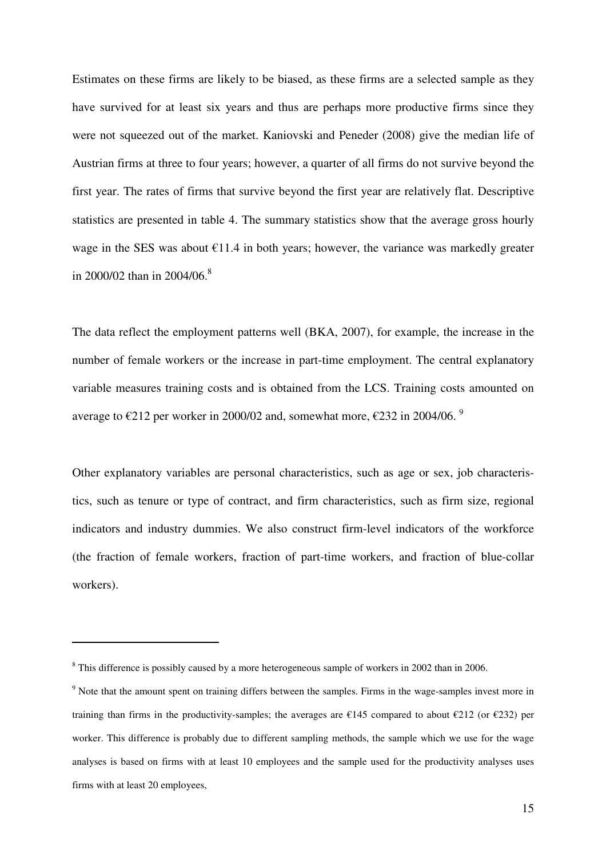Estimates on these firms are likely to be biased, as these firms are a selected sample as they have survived for at least six years and thus are perhaps more productive firms since they were not squeezed out of the market. Kaniovski and Peneder (2008) give the median life of Austrian firms at three to four years; however, a quarter of all firms do not survive beyond the first year. The rates of firms that survive beyond the first year are relatively flat. Descriptive statistics are presented in table 4. The summary statistics show that the average gross hourly wage in the SES was about  $\epsilon$ 11.4 in both years; however, the variance was markedly greater in 2000/02 than in 2004/06.<sup>8</sup>

The data reflect the employment patterns well (BKA, 2007), for example, the increase in the number of female workers or the increase in part-time employment. The central explanatory variable measures training costs and is obtained from the LCS. Training costs amounted on average to  $\epsilon$ 212 per worker in 2000/02 and, somewhat more,  $\epsilon$ 232 in 2004/06.<sup>9</sup>

Other explanatory variables are personal characteristics, such as age or sex, job characteristics, such as tenure or type of contract, and firm characteristics, such as firm size, regional indicators and industry dummies. We also construct firm-level indicators of the workforce (the fraction of female workers, fraction of part-time workers, and fraction of blue-collar workers).

 $\overline{a}$ 

 $8$  This difference is possibly caused by a more heterogeneous sample of workers in 2002 than in 2006.

<sup>&</sup>lt;sup>9</sup> Note that the amount spent on training differs between the samples. Firms in the wage-samples invest more in training than firms in the productivity-samples; the averages are  $\epsilon$ 145 compared to about  $\epsilon$ 212 (or  $\epsilon$ 232) per worker. This difference is probably due to different sampling methods, the sample which we use for the wage analyses is based on firms with at least 10 employees and the sample used for the productivity analyses uses firms with at least 20 employees,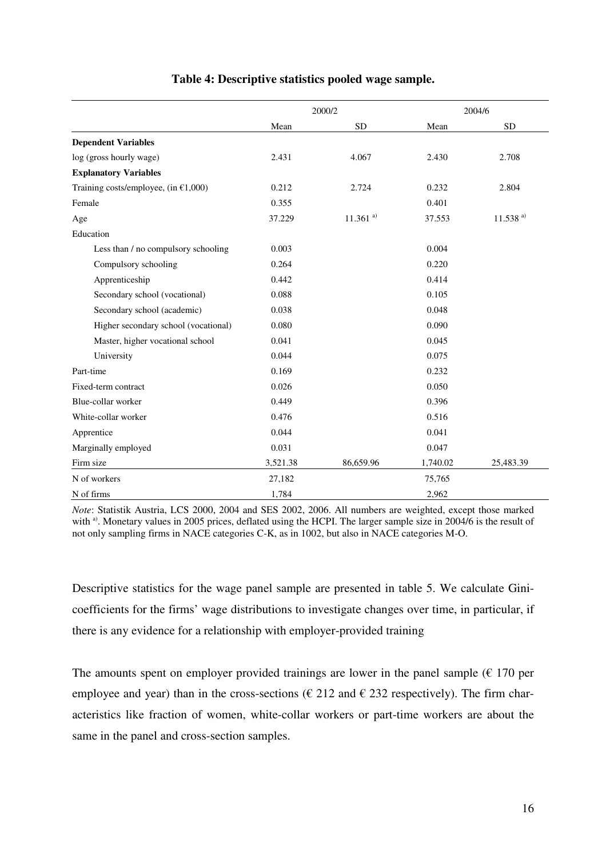|                                         | 2000/2   |              |          | 2004/6       |
|-----------------------------------------|----------|--------------|----------|--------------|
|                                         | Mean     | <b>SD</b>    | Mean     | <b>SD</b>    |
| <b>Dependent Variables</b>              |          |              |          |              |
| log (gross hourly wage)                 | 2.431    | 4.067        | 2.430    | 2.708        |
| <b>Explanatory Variables</b>            |          |              |          |              |
| Training costs/employee, (in $£1,000$ ) | 0.212    | 2.724        | 0.232    | 2.804        |
| Female                                  | 0.355    |              | 0.401    |              |
| Age                                     | 37.229   | $11.361^{a}$ | 37.553   | $11.538^{a}$ |
| Education                               |          |              |          |              |
| Less than / no compulsory schooling     | 0.003    |              | 0.004    |              |
| Compulsory schooling                    | 0.264    |              | 0.220    |              |
| Apprenticeship                          | 0.442    |              | 0.414    |              |
| Secondary school (vocational)           | 0.088    |              | 0.105    |              |
| Secondary school (academic)             | 0.038    |              | 0.048    |              |
| Higher secondary school (vocational)    | 0.080    |              | 0.090    |              |
| Master, higher vocational school        | 0.041    |              | 0.045    |              |
| University                              | 0.044    |              | 0.075    |              |
| Part-time                               | 0.169    |              | 0.232    |              |
| Fixed-term contract                     | 0.026    |              | 0.050    |              |
| Blue-collar worker                      | 0.449    |              | 0.396    |              |
| White-collar worker                     | 0.476    |              | 0.516    |              |
| Apprentice                              | 0.044    |              | 0.041    |              |
| Marginally employed                     | 0.031    |              | 0.047    |              |
| Firm size                               | 3,521.38 | 86,659.96    | 1,740.02 | 25,483.39    |
| N of workers                            | 27,182   |              | 75,765   |              |
| N of firms                              | 1,784    |              | 2,962    |              |

## **Table 4: Descriptive statistics pooled wage sample.**

*Note*: Statistik Austria, LCS 2000, 2004 and SES 2002, 2006. All numbers are weighted, except those marked with <sup>a)</sup>. Monetary values in 2005 prices, deflated using the HCPI. The larger sample size in 2004/6 is the result of not only sampling firms in NACE categories C-K, as in 1002, but also in NACE categories M-O.

Descriptive statistics for the wage panel sample are presented in table 5. We calculate Ginicoefficients for the firms' wage distributions to investigate changes over time, in particular, if there is any evidence for a relationship with employer-provided training

The amounts spent on employer provided trainings are lower in the panel sample  $(\epsilon 170 \text{ per})$ employee and year) than in the cross-sections ( $\epsilon$  212 and  $\epsilon$  232 respectively). The firm characteristics like fraction of women, white-collar workers or part-time workers are about the same in the panel and cross-section samples.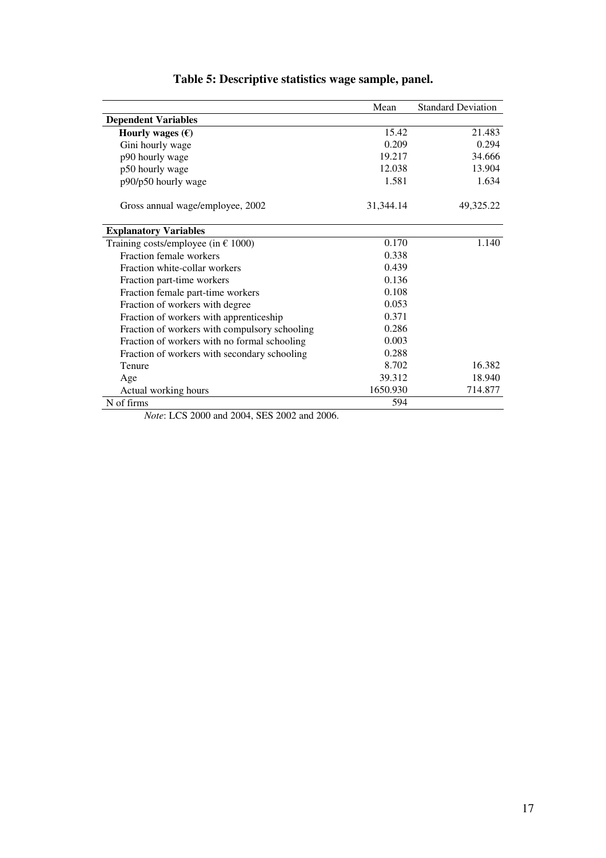|                                               | Mean      | <b>Standard Deviation</b> |
|-----------------------------------------------|-----------|---------------------------|
| <b>Dependent Variables</b>                    |           |                           |
| Hourly wages $(\epsilon)$                     | 15.42     | 21.483                    |
| Gini hourly wage                              | 0.209     | 0.294                     |
| p90 hourly wage                               | 19.217    | 34.666                    |
| p50 hourly wage                               | 12.038    | 13.904                    |
| p90/p50 hourly wage                           | 1.581     | 1.634                     |
| Gross annual wage/employee, 2002              | 31,344.14 | 49,325.22                 |
| <b>Explanatory Variables</b>                  |           |                           |
| Training costs/employee (in $\epsilon$ 1000)  | 0.170     | 1.140                     |
| Fraction female workers                       | 0.338     |                           |
| Fraction white-collar workers                 | 0.439     |                           |
| Fraction part-time workers                    | 0.136     |                           |
| Fraction female part-time workers             | 0.108     |                           |
| Fraction of workers with degree               | 0.053     |                           |
| Fraction of workers with apprenticeship       | 0.371     |                           |
| Fraction of workers with compulsory schooling | 0.286     |                           |
| Fraction of workers with no formal schooling  | 0.003     |                           |
| Fraction of workers with secondary schooling  | 0.288     |                           |
| Tenure                                        | 8.702     | 16.382                    |
| Age                                           | 39.312    | 18.940                    |
| Actual working hours                          | 1650.930  | 714.877                   |
| N of firms                                    | 594       |                           |

# **Table 5: Descriptive statistics wage sample, panel.**

*Note*: LCS 2000 and 2004, SES 2002 and 2006.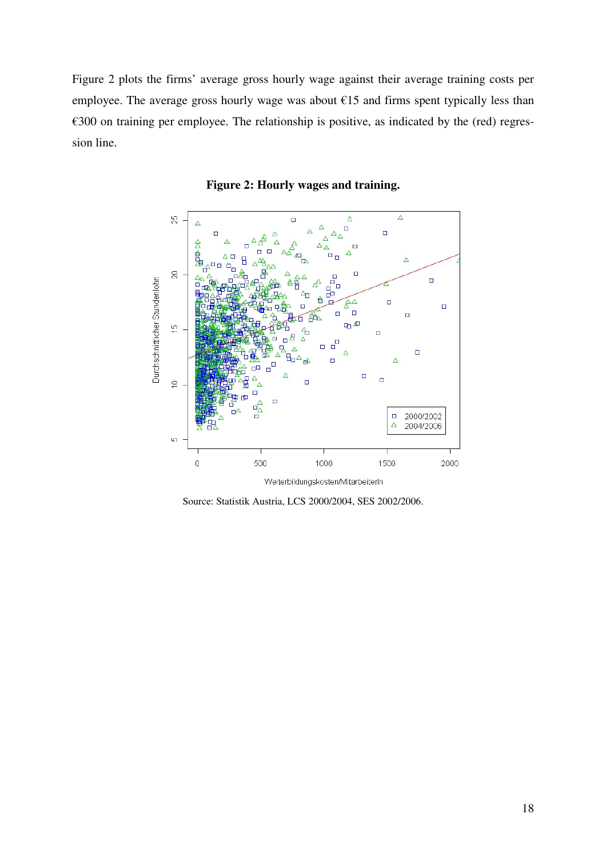Figure 2 plots the firms' average gross hourly wage against their average training costs per employee. The average gross hourly wage was about  $E15$  and firms spent typically less than €300 on training per employee. The relationship is positive, as indicated by the (red) regression line.



**Figure 2: Hourly wages and training.** 

Source: Statistik Austria, LCS 2000/2004, SES 2002/2006.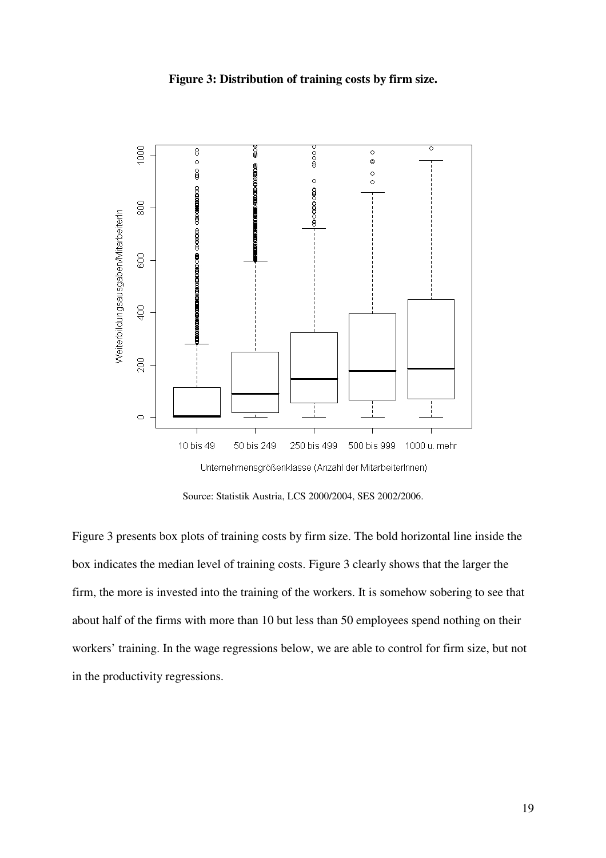## **Figure 3: Distribution of training costs by firm size.**



Source: Statistik Austria, LCS 2000/2004, SES 2002/2006.

Figure 3 presents box plots of training costs by firm size. The bold horizontal line inside the box indicates the median level of training costs. Figure 3 clearly shows that the larger the firm, the more is invested into the training of the workers. It is somehow sobering to see that about half of the firms with more than 10 but less than 50 employees spend nothing on their workers' training. In the wage regressions below, we are able to control for firm size, but not in the productivity regressions.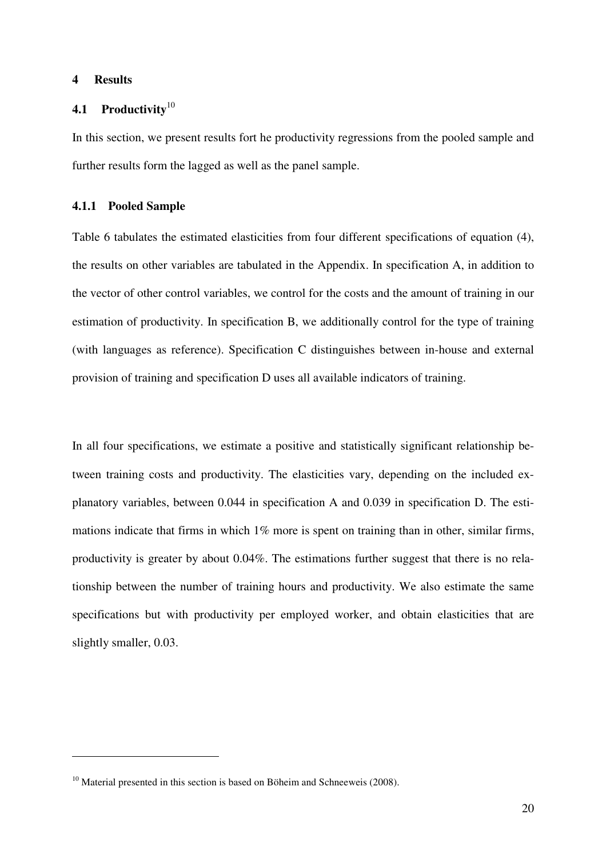#### **4 Results**

 $\overline{a}$ 

## **4.1 Productivity**<sup>10</sup>

In this section, we present results fort he productivity regressions from the pooled sample and further results form the lagged as well as the panel sample.

#### **4.1.1 Pooled Sample**

Table 6 tabulates the estimated elasticities from four different specifications of equation (4), the results on other variables are tabulated in the Appendix. In specification A, in addition to the vector of other control variables, we control for the costs and the amount of training in our estimation of productivity. In specification B, we additionally control for the type of training (with languages as reference). Specification C distinguishes between in-house and external provision of training and specification D uses all available indicators of training.

In all four specifications, we estimate a positive and statistically significant relationship between training costs and productivity. The elasticities vary, depending on the included explanatory variables, between 0.044 in specification A and 0.039 in specification D. The estimations indicate that firms in which 1% more is spent on training than in other, similar firms, productivity is greater by about 0.04%. The estimations further suggest that there is no relationship between the number of training hours and productivity. We also estimate the same specifications but with productivity per employed worker, and obtain elasticities that are slightly smaller, 0.03.

 $10$  Material presented in this section is based on Böheim and Schneeweis (2008).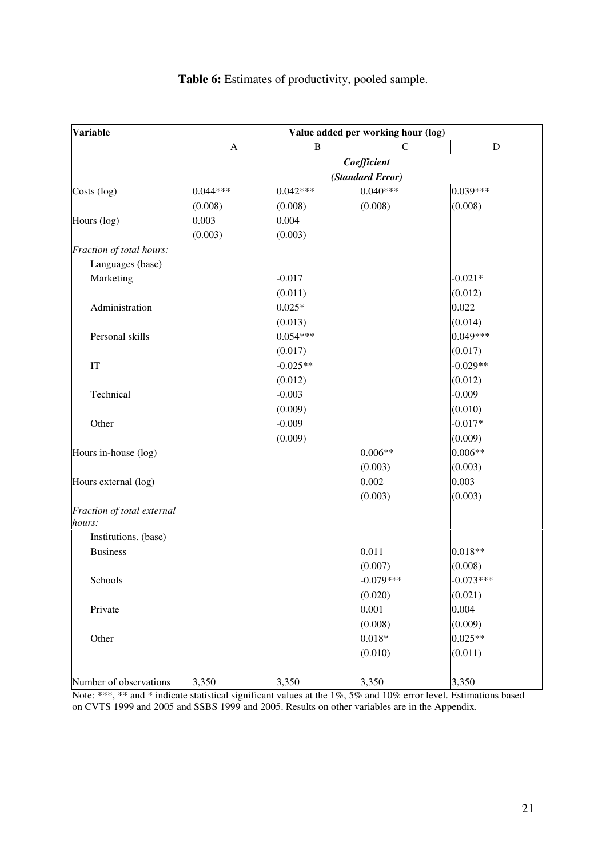| <b>Variable</b>            | Value added per working hour (log) |            |                  |             |  |  |
|----------------------------|------------------------------------|------------|------------------|-------------|--|--|
|                            | $\boldsymbol{\mathsf{A}}$          | B          | $\mathcal{C}$    | ${\bf D}$   |  |  |
|                            |                                    |            | Coefficient      |             |  |  |
|                            |                                    |            | (Standard Error) |             |  |  |
| Costs (log)                | $0.044***$                         | $0.042***$ | 0.040***         | 0.039***    |  |  |
|                            | (0.008)                            | (0.008)    | (0.008)          | (0.008)     |  |  |
| Hours (log)                | 0.003                              | 0.004      |                  |             |  |  |
|                            | (0.003)                            | (0.003)    |                  |             |  |  |
| Fraction of total hours:   |                                    |            |                  |             |  |  |
| Languages (base)           |                                    |            |                  |             |  |  |
| Marketing                  |                                    | $-0.017$   |                  | $-0.021*$   |  |  |
|                            |                                    | (0.011)    |                  | (0.012)     |  |  |
| Administration             |                                    | $0.025*$   |                  | 0.022       |  |  |
|                            |                                    | (0.013)    |                  | (0.014)     |  |  |
| Personal skills            |                                    | $0.054***$ |                  | 0.049***    |  |  |
|                            |                                    | (0.017)    |                  | (0.017)     |  |  |
| IT                         |                                    | $-0.025**$ |                  | $-0.029**$  |  |  |
|                            |                                    | (0.012)    |                  | (0.012)     |  |  |
| Technical                  |                                    | $-0.003$   |                  | $-0.009$    |  |  |
|                            |                                    | (0.009)    |                  | (0.010)     |  |  |
| Other                      |                                    | $-0.009$   |                  | $-0.017*$   |  |  |
|                            |                                    | (0.009)    |                  | (0.009)     |  |  |
| Hours in-house (log)       |                                    |            | 0.006**          | $0.006**$   |  |  |
|                            |                                    |            | (0.003)          | (0.003)     |  |  |
| Hours external (log)       |                                    |            | 0.002            | 0.003       |  |  |
|                            |                                    |            | (0.003)          | (0.003)     |  |  |
| Fraction of total external |                                    |            |                  |             |  |  |
| hours:                     |                                    |            |                  |             |  |  |
| Institutions. (base)       |                                    |            |                  |             |  |  |
| <b>Business</b>            |                                    |            | 0.011            | $0.018**$   |  |  |
|                            |                                    |            | (0.007)          | (0.008)     |  |  |
| Schools                    |                                    |            | $-0.079***$      | $-0.073***$ |  |  |
|                            |                                    |            | (0.020)          | (0.021)     |  |  |
| Private                    |                                    |            | 0.001            | 0.004       |  |  |
|                            |                                    |            | (0.008)          | (0.009)     |  |  |
| Other                      |                                    |            | $0.018*$         | $0.025**$   |  |  |
|                            |                                    |            | (0.010)          | (0.011)     |  |  |
| Number of observations     | 3,350                              | 3,350      | 3,350            | 3,350       |  |  |

# **Table 6:** Estimates of productivity, pooled sample.

Note: \*\*\*, \*\* and \* indicate statistical significant values at the 1%, 5% and 10% error level. Estimations based on CVTS 1999 and 2005 and SSBS 1999 and 2005. Results on other variables are in the Appendix.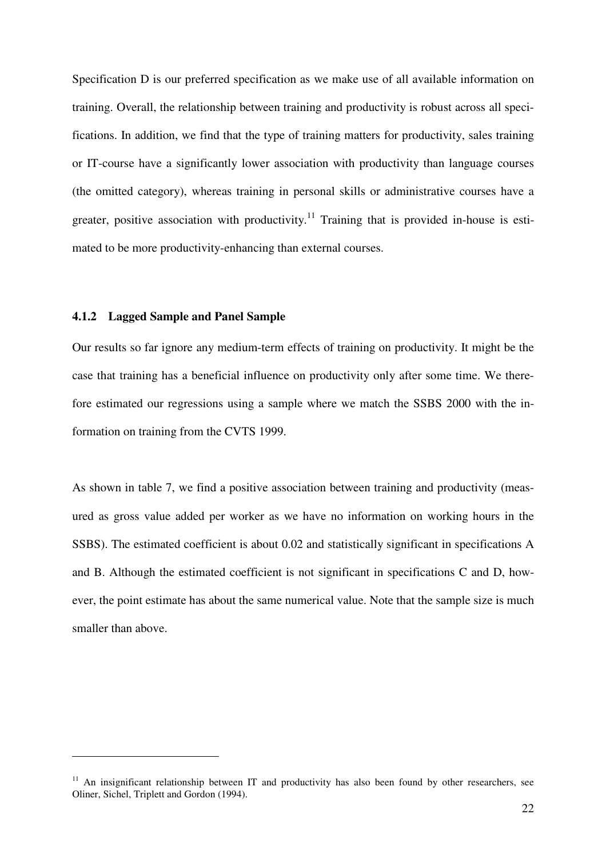Specification D is our preferred specification as we make use of all available information on training. Overall, the relationship between training and productivity is robust across all specifications. In addition, we find that the type of training matters for productivity, sales training or IT-course have a significantly lower association with productivity than language courses (the omitted category), whereas training in personal skills or administrative courses have a greater, positive association with productivity.<sup>11</sup> Training that is provided in-house is estimated to be more productivity-enhancing than external courses.

#### **4.1.2 Lagged Sample and Panel Sample**

 $\overline{a}$ 

Our results so far ignore any medium-term effects of training on productivity. It might be the case that training has a beneficial influence on productivity only after some time. We therefore estimated our regressions using a sample where we match the SSBS 2000 with the information on training from the CVTS 1999.

As shown in table 7, we find a positive association between training and productivity (measured as gross value added per worker as we have no information on working hours in the SSBS). The estimated coefficient is about 0.02 and statistically significant in specifications A and B. Although the estimated coefficient is not significant in specifications C and D, however, the point estimate has about the same numerical value. Note that the sample size is much smaller than above.

<sup>&</sup>lt;sup>11</sup> An insignificant relationship between IT and productivity has also been found by other researchers, see Oliner, Sichel, Triplett and Gordon (1994).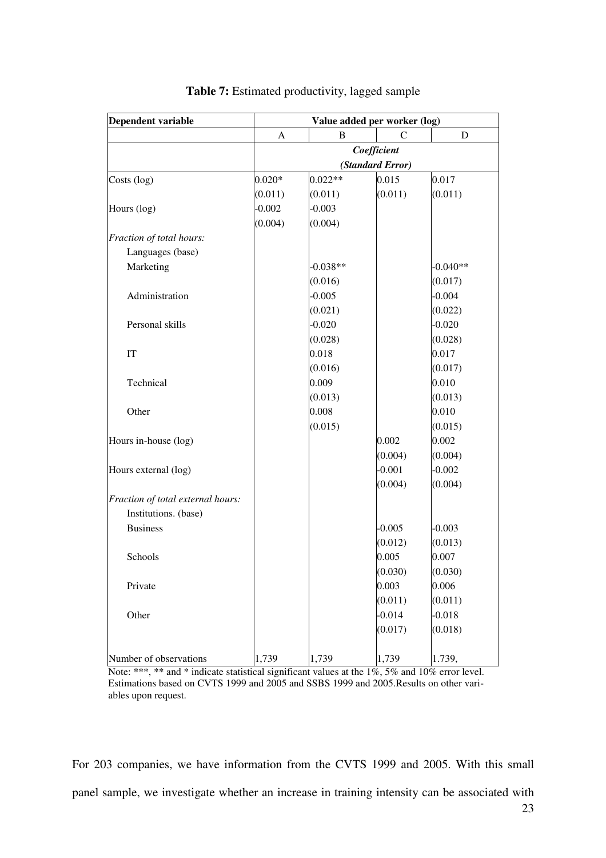| <b>Dependent variable</b>         |          |            |                  | Value added per worker (log) |  |  |
|-----------------------------------|----------|------------|------------------|------------------------------|--|--|
|                                   | A        | B          | $\mathsf{C}$     | D                            |  |  |
|                                   |          |            | Coefficient      |                              |  |  |
|                                   |          |            | (Standard Error) |                              |  |  |
| Costs (log)                       | $0.020*$ | $0.022**$  | 0.015            | 0.017                        |  |  |
|                                   | (0.011)  | (0.011)    | (0.011)          | (0.011)                      |  |  |
| Hours (log)                       | $-0.002$ | $-0.003$   |                  |                              |  |  |
|                                   | (0.004)  | (0.004)    |                  |                              |  |  |
| Fraction of total hours:          |          |            |                  |                              |  |  |
| Languages (base)                  |          |            |                  |                              |  |  |
| Marketing                         |          | $-0.038**$ |                  | $-0.040**$                   |  |  |
|                                   |          | (0.016)    |                  | (0.017)                      |  |  |
| Administration                    |          | $-0.005$   |                  | $-0.004$                     |  |  |
|                                   |          | (0.021)    |                  | (0.022)                      |  |  |
| Personal skills                   |          | $-0.020$   |                  | $-0.020$                     |  |  |
|                                   |          | (0.028)    |                  | (0.028)                      |  |  |
| IT                                |          | 0.018      |                  | 0.017                        |  |  |
|                                   |          | (0.016)    |                  | (0.017)                      |  |  |
| Technical                         |          | 0.009      |                  | 0.010                        |  |  |
|                                   |          | (0.013)    |                  | (0.013)                      |  |  |
| Other                             |          | 0.008      |                  | 0.010                        |  |  |
|                                   |          | (0.015)    |                  | (0.015)                      |  |  |
| Hours in-house (log)              |          |            | 0.002            | 0.002                        |  |  |
|                                   |          |            | (0.004)          | (0.004)                      |  |  |
| Hours external (log)              |          |            | $-0.001$         | $-0.002$                     |  |  |
|                                   |          |            | (0.004)          | (0.004)                      |  |  |
| Fraction of total external hours: |          |            |                  |                              |  |  |
| Institutions. (base)              |          |            |                  |                              |  |  |
| <b>Business</b>                   |          |            | $-0.005$         | $-0.003$                     |  |  |
|                                   |          |            | (0.012)          | (0.013)                      |  |  |
| Schools                           |          |            | 0.005            | 0.007                        |  |  |
|                                   |          |            | (0.030)          | (0.030)                      |  |  |
| Private                           |          |            | 0.003            | 0.006                        |  |  |
|                                   |          |            | (0.011)          | (0.011)                      |  |  |
| Other                             |          |            | $-0.014$         | $-0.018$                     |  |  |
|                                   |          |            | (0.017)          | (0.018)                      |  |  |
| Number of observations            | 1,739    | 1,739      | 1,739            | 1.739,                       |  |  |

| Table 7: Estimated productivity, lagged sample |  |  |  |  |  |
|------------------------------------------------|--|--|--|--|--|
|------------------------------------------------|--|--|--|--|--|

Note: \*\*\*, \*\* and \* indicate statistical significant values at the 1%, 5% and 10% error level. Estimations based on CVTS 1999 and 2005 and SSBS 1999 and 2005.Results on other variables upon request.

For 203 companies, we have information from the CVTS 1999 and 2005. With this small panel sample, we investigate whether an increase in training intensity can be associated with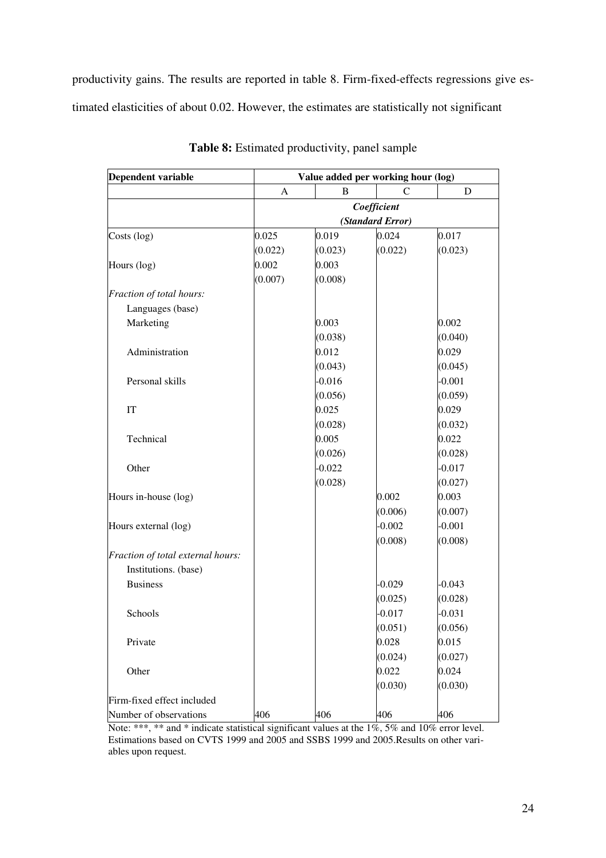productivity gains. The results are reported in table 8. Firm-fixed-effects regressions give estimated elasticities of about 0.02. However, the estimates are statistically not significant

| <b>Dependent variable</b>         | Value added per working hour (log) |             |                  |          |  |  |
|-----------------------------------|------------------------------------|-------------|------------------|----------|--|--|
|                                   | A                                  | B           | $\mathsf{C}$     | D        |  |  |
|                                   |                                    | Coefficient |                  |          |  |  |
|                                   |                                    |             | (Standard Error) |          |  |  |
| Costs (log)                       | 0.025                              | 0.019       | 0.024            | 0.017    |  |  |
|                                   | (0.022)                            | (0.023)     | (0.022)          | (0.023)  |  |  |
| Hours (log)                       | 0.002                              | 0.003       |                  |          |  |  |
|                                   | (0.007)                            | (0.008)     |                  |          |  |  |
| Fraction of total hours:          |                                    |             |                  |          |  |  |
| Languages (base)                  |                                    |             |                  |          |  |  |
| Marketing                         |                                    | 0.003       |                  | 0.002    |  |  |
|                                   |                                    | (0.038)     |                  | (0.040)  |  |  |
| Administration                    |                                    | 0.012       |                  | 0.029    |  |  |
|                                   |                                    | (0.043)     |                  | (0.045)  |  |  |
| Personal skills                   |                                    | $-0.016$    |                  | $-0.001$ |  |  |
|                                   |                                    | (0.056)     |                  | (0.059)  |  |  |
| IT                                |                                    | 0.025       |                  | 0.029    |  |  |
|                                   |                                    | (0.028)     |                  | (0.032)  |  |  |
| Technical                         |                                    | 0.005       |                  | 0.022    |  |  |
|                                   |                                    | (0.026)     |                  | (0.028)  |  |  |
| Other                             |                                    | $-0.022$    |                  | $-0.017$ |  |  |
|                                   |                                    | (0.028)     |                  | (0.027)  |  |  |
| Hours in-house (log)              |                                    |             | 0.002            | 0.003    |  |  |
|                                   |                                    |             | (0.006)          | (0.007)  |  |  |
| Hours external (log)              |                                    |             | $-0.002$         | $-0.001$ |  |  |
|                                   |                                    |             | (0.008)          | (0.008)  |  |  |
| Fraction of total external hours: |                                    |             |                  |          |  |  |
| Institutions. (base)              |                                    |             |                  |          |  |  |
| <b>Business</b>                   |                                    |             | $-0.029$         | $-0.043$ |  |  |
|                                   |                                    |             | (0.025)          | (0.028)  |  |  |
| Schools                           |                                    |             | $-0.017$         | $-0.031$ |  |  |
|                                   |                                    |             | (0.051)          | (0.056)  |  |  |
| Private                           |                                    |             | 0.028            | 0.015    |  |  |
|                                   |                                    |             | (0.024)          | (0.027)  |  |  |
| Other                             |                                    |             | 0.022            | 0.024    |  |  |
|                                   |                                    |             | (0.030)          | (0.030)  |  |  |
| Firm-fixed effect included        |                                    |             |                  |          |  |  |
| Number of observations            | 406                                | 406         | 406              | 406      |  |  |

**Table 8:** Estimated productivity, panel sample

Note: \*\*\*, \*\* and \* indicate statistical significant values at the 1%, 5% and 10% error level. Estimations based on CVTS 1999 and 2005 and SSBS 1999 and 2005.Results on other variables upon request.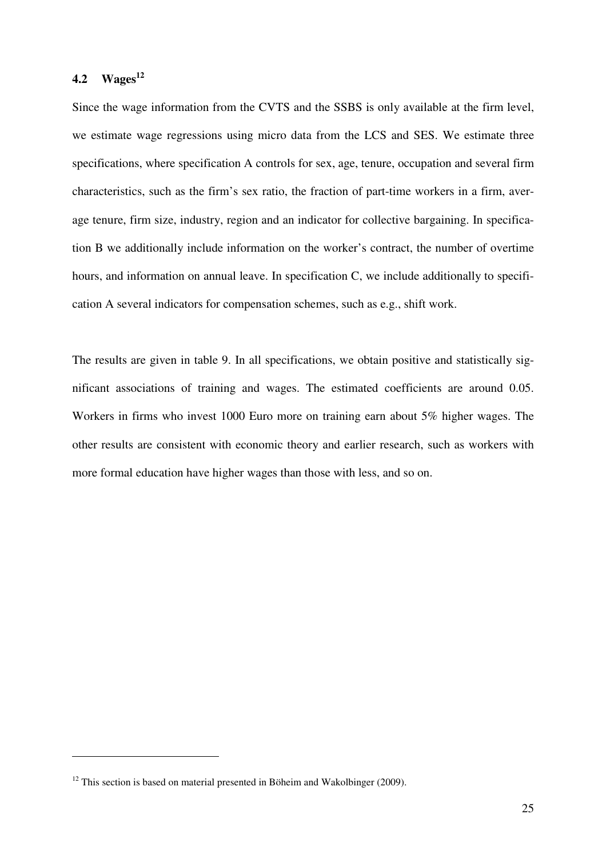## **4.2 Wages<sup>12</sup>**

 $\overline{a}$ 

Since the wage information from the CVTS and the SSBS is only available at the firm level, we estimate wage regressions using micro data from the LCS and SES. We estimate three specifications, where specification A controls for sex, age, tenure, occupation and several firm characteristics, such as the firm's sex ratio, the fraction of part-time workers in a firm, average tenure, firm size, industry, region and an indicator for collective bargaining. In specification B we additionally include information on the worker's contract, the number of overtime hours, and information on annual leave. In specification C, we include additionally to specification A several indicators for compensation schemes, such as e.g., shift work.

The results are given in table 9. In all specifications, we obtain positive and statistically significant associations of training and wages. The estimated coefficients are around 0.05. Workers in firms who invest 1000 Euro more on training earn about 5% higher wages. The other results are consistent with economic theory and earlier research, such as workers with more formal education have higher wages than those with less, and so on.

 $12$  This section is based on material presented in Böheim and Wakolbinger (2009).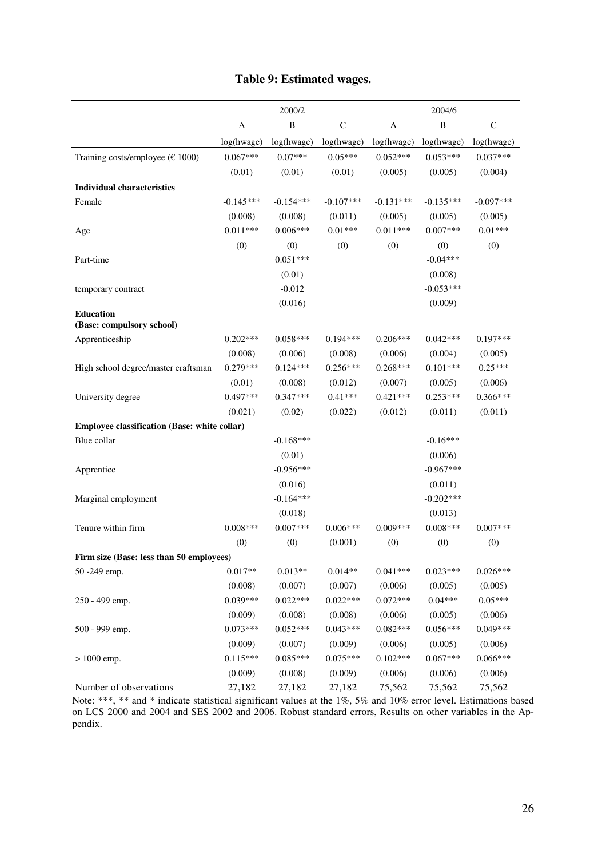|                                               |             | 2000/2       |             |             | 2004/6       |              |
|-----------------------------------------------|-------------|--------------|-------------|-------------|--------------|--------------|
|                                               | A           | $\, {\bf B}$ | $\mathsf C$ | A           | $\, {\bf B}$ | $\mathsf{C}$ |
|                                               | log(hwage)  | log(hwage)   | log(hwage)  | log(hwage)  | log(hwage)   | log(hwage)   |
| Training costs/employee ( $€ 1000$ )          | $0.067***$  | $0.07***$    | $0.05***$   | $0.052***$  | $0.053***$   | $0.037***$   |
|                                               | (0.01)      | (0.01)       | (0.01)      | (0.005)     | (0.005)      | (0.004)      |
| <b>Individual characteristics</b>             |             |              |             |             |              |              |
| Female                                        | $-0.145***$ | $-0.154***$  | $-0.107***$ | $-0.131***$ | $-0.135***$  | $-0.097***$  |
|                                               | (0.008)     | (0.008)      | (0.011)     | (0.005)     | (0.005)      | (0.005)      |
| Age                                           | $0.011***$  | $0.006***$   | $0.01***$   | $0.011***$  | $0.007***$   | $0.01***$    |
|                                               | (0)         | (0)          | (0)         | (0)         | (0)          | (0)          |
| Part-time                                     |             | $0.051***$   |             |             | $-0.04***$   |              |
|                                               |             | (0.01)       |             |             | (0.008)      |              |
| temporary contract                            |             | $-0.012$     |             |             | $-0.053***$  |              |
|                                               |             | (0.016)      |             |             | (0.009)      |              |
| <b>Education</b><br>(Base: compulsory school) |             |              |             |             |              |              |
| Apprenticeship                                | $0.202***$  | $0.058***$   | $0.194***$  | $0.206***$  | $0.042***$   | $0.197***$   |
|                                               | (0.008)     | (0.006)      | (0.008)     | (0.006)     | (0.004)      | (0.005)      |
| High school degree/master craftsman           | $0.279***$  | $0.124***$   | $0.256***$  | $0.268***$  | $0.101***$   | $0.25***$    |
|                                               | (0.01)      | (0.008)      | (0.012)     | (0.007)     | (0.005)      | (0.006)      |
| University degree                             | $0.497***$  | $0.347***$   | $0.41***$   | $0.421***$  | $0.253***$   | $0.366***$   |
|                                               | (0.021)     | (0.02)       | (0.022)     | (0.012)     | (0.011)      | (0.011)      |
| Employee classification (Base: white collar)  |             |              |             |             |              |              |
| Blue collar                                   |             | $-0.168***$  |             |             | $-0.16***$   |              |
|                                               |             | (0.01)       |             |             | (0.006)      |              |
| Apprentice                                    |             | $-0.956***$  |             |             | $-0.967***$  |              |
|                                               |             | (0.016)      |             |             | (0.011)      |              |
| Marginal employment                           |             | $-0.164***$  |             |             | $-0.202***$  |              |
|                                               |             | (0.018)      |             |             | (0.013)      |              |
| Tenure within firm                            | $0.008***$  | $0.007***$   | $0.006***$  | $0.009***$  | $0.008***$   | $0.007***$   |
|                                               | (0)         | (0)          | (0.001)     | (0)         | (0)          | (0)          |
| Firm size (Base: less than 50 employees)      |             |              |             |             |              |              |
| 50 -249 emp.                                  | $0.017**$   | $0.013**$    | $0.014**$   | $0.041***$  | $0.023***$   | $0.026***$   |
|                                               | (0.008)     | (0.007)      | (0.007)     | (0.006)     | (0.005)      | (0.005)      |
| 250 - 499 emp.                                | $0.039***$  | $0.022***$   | $0.022***$  | $0.072***$  | $0.04***$    | $0.05***$    |
|                                               | (0.009)     | (0.008)      | (0.008)     | (0.006)     | (0.005)      | (0.006)      |
| 500 - 999 emp.                                | $0.073***$  | $0.052***$   | $0.043***$  | $0.082***$  | $0.056***$   | $0.049***$   |
|                                               | (0.009)     | (0.007)      | (0.009)     | (0.006)     | (0.005)      | (0.006)      |
| $> 1000$ emp.                                 | $0.115***$  | $0.085***$   | $0.075***$  | $0.102***$  | $0.067***$   | $0.066***$   |
|                                               | (0.009)     | (0.008)      | (0.009)     | (0.006)     | (0.006)      | (0.006)      |
| Number of observations                        | 27,182      | 27,182       | 27,182      | 75,562      | 75,562       | 75,562       |

# **Table 9: Estimated wages.**

Note: \*\*\*, \*\* and \* indicate statistical significant values at the 1%, 5% and 10% error level. Estimations based on LCS 2000 and 2004 and SES 2002 and 2006. Robust standard errors, Results on other variables in the Appendix.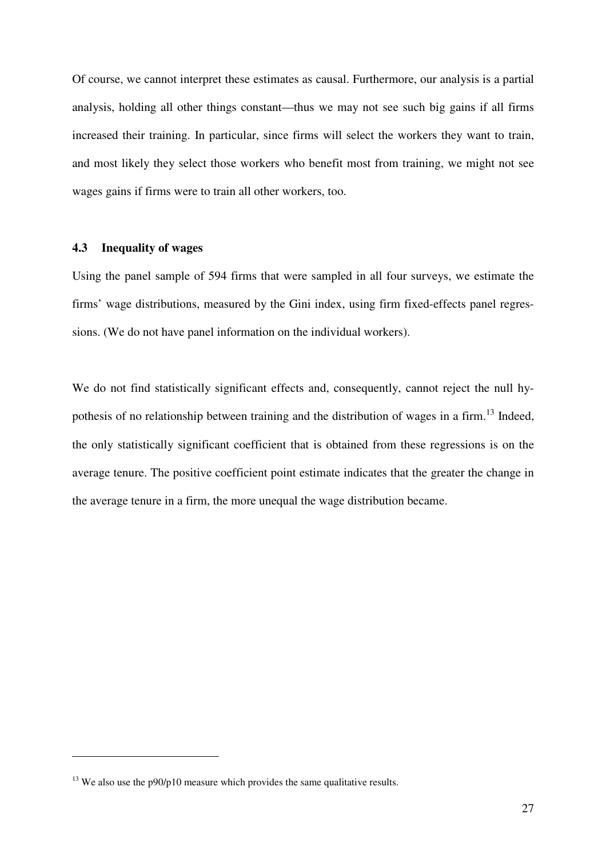Of course, we cannot interpret these estimates as causal. Furthermore, our analysis is a partial analysis, holding all other things constant—thus we may not see such big gains if all firms increased their training. In particular, since firms will select the workers they want to train, and most likely they select those workers who benefit most from training, we might not see wages gains if firms were to train all other workers, too.

### **4.3 Inequality of wages**

 $\overline{a}$ 

Using the panel sample of 594 firms that were sampled in all four surveys, we estimate the firms' wage distributions, measured by the Gini index, using firm fixed-effects panel regressions. (We do not have panel information on the individual workers).

We do not find statistically significant effects and, consequently, cannot reject the null hypothesis of no relationship between training and the distribution of wages in a firm.<sup>13</sup> Indeed, the only statistically significant coefficient that is obtained from these regressions is on the average tenure. The positive coefficient point estimate indicates that the greater the change in the average tenure in a firm, the more unequal the wage distribution became.

 $13$  We also use the p90/p10 measure which provides the same qualitative results.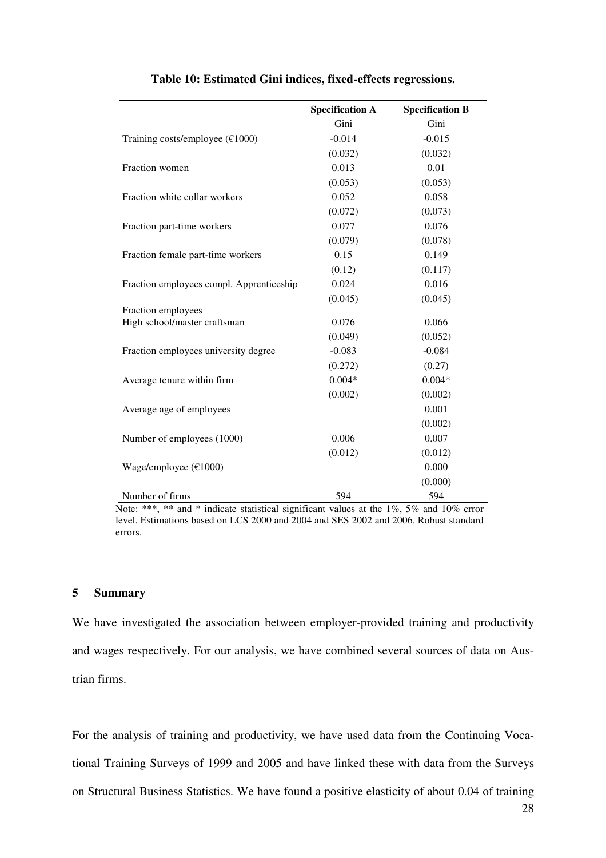|                                          | <b>Specification A</b> | <b>Specification B</b> |
|------------------------------------------|------------------------|------------------------|
|                                          | Gini                   | Gini                   |
| Training costs/employee ( $€1000$ )      | $-0.014$               | $-0.015$               |
|                                          | (0.032)                | (0.032)                |
| Fraction women                           | 0.013                  | 0.01                   |
|                                          | (0.053)                | (0.053)                |
| Fraction white collar workers            | 0.052                  | 0.058                  |
|                                          | (0.072)                | (0.073)                |
| Fraction part-time workers               | 0.077                  | 0.076                  |
|                                          | (0.079)                | (0.078)                |
| Fraction female part-time workers        | 0.15                   | 0.149                  |
|                                          | (0.12)                 | (0.117)                |
| Fraction employees compl. Apprenticeship | 0.024                  | 0.016                  |
|                                          | (0.045)                | (0.045)                |
| Fraction employees                       |                        |                        |
| High school/master craftsman             | 0.076                  | 0.066                  |
|                                          | (0.049)                | (0.052)                |
| Fraction employees university degree     | $-0.083$               | $-0.084$               |
|                                          | (0.272)                | (0.27)                 |
| Average tenure within firm               | $0.004*$               | $0.004*$               |
|                                          | (0.002)                | (0.002)                |
| Average age of employees                 |                        | 0.001                  |
|                                          |                        | (0.002)                |
| Number of employees (1000)               | 0.006                  | 0.007                  |
|                                          | (0.012)                | (0.012)                |
| Wage/employee ( $€1000$ )                |                        | 0.000                  |
|                                          |                        | (0.000)                |
| Number of firms                          | 594                    | 594                    |

#### **Table 10: Estimated Gini indices, fixed-effects regressions.**

Note: \*\*\*, \*\* and \* indicate statistical significant values at the 1%, 5% and 10% error level. Estimations based on LCS 2000 and 2004 and SES 2002 and 2006. Robust standard errors.

#### **5 Summary**

We have investigated the association between employer-provided training and productivity and wages respectively. For our analysis, we have combined several sources of data on Austrian firms.

For the analysis of training and productivity, we have used data from the Continuing Vocational Training Surveys of 1999 and 2005 and have linked these with data from the Surveys on Structural Business Statistics. We have found a positive elasticity of about 0.04 of training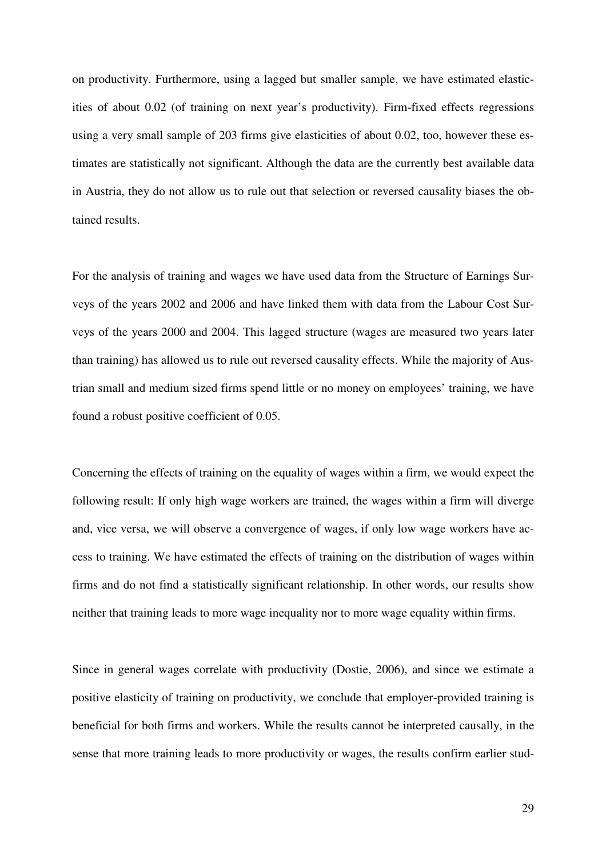on productivity. Furthermore, using a lagged but smaller sample, we have estimated elasticities of about 0.02 (of training on next year's productivity). Firm-fixed effects regressions using a very small sample of 203 firms give elasticities of about 0.02, too, however these estimates are statistically not significant. Although the data are the currently best available data in Austria, they do not allow us to rule out that selection or reversed causality biases the obtained results.

For the analysis of training and wages we have used data from the Structure of Earnings Surveys of the years 2002 and 2006 and have linked them with data from the Labour Cost Surveys of the years 2000 and 2004. This lagged structure (wages are measured two years later than training) has allowed us to rule out reversed causality effects. While the majority of Austrian small and medium sized firms spend little or no money on employees' training, we have found a robust positive coefficient of 0.05.

Concerning the effects of training on the equality of wages within a firm, we would expect the following result: If only high wage workers are trained, the wages within a firm will diverge and, vice versa, we will observe a convergence of wages, if only low wage workers have access to training. We have estimated the effects of training on the distribution of wages within firms and do not find a statistically significant relationship. In other words, our results show neither that training leads to more wage inequality nor to more wage equality within firms.

Since in general wages correlate with productivity (Dostie, 2006), and since we estimate a positive elasticity of training on productivity, we conclude that employer-provided training is beneficial for both firms and workers. While the results cannot be interpreted causally, in the sense that more training leads to more productivity or wages, the results confirm earlier stud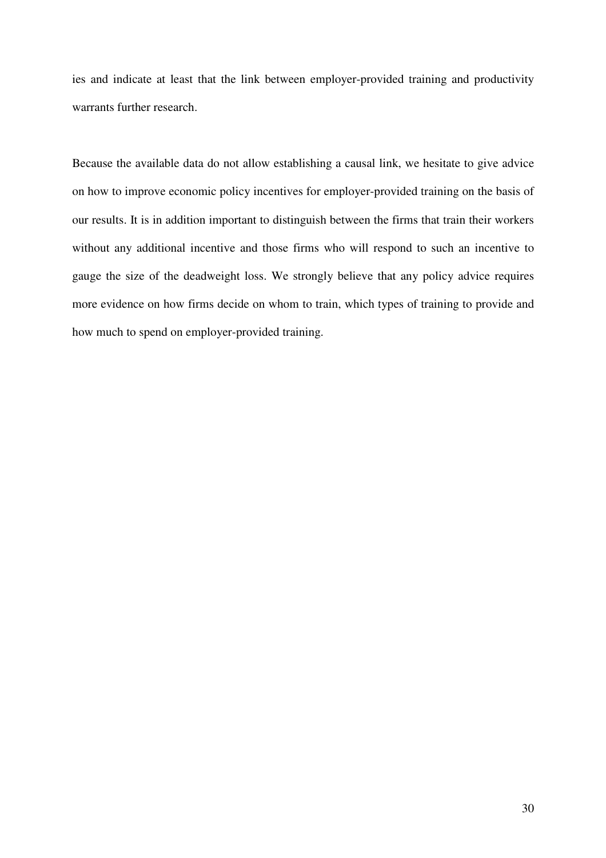ies and indicate at least that the link between employer-provided training and productivity warrants further research.

Because the available data do not allow establishing a causal link, we hesitate to give advice on how to improve economic policy incentives for employer-provided training on the basis of our results. It is in addition important to distinguish between the firms that train their workers without any additional incentive and those firms who will respond to such an incentive to gauge the size of the deadweight loss. We strongly believe that any policy advice requires more evidence on how firms decide on whom to train, which types of training to provide and how much to spend on employer-provided training.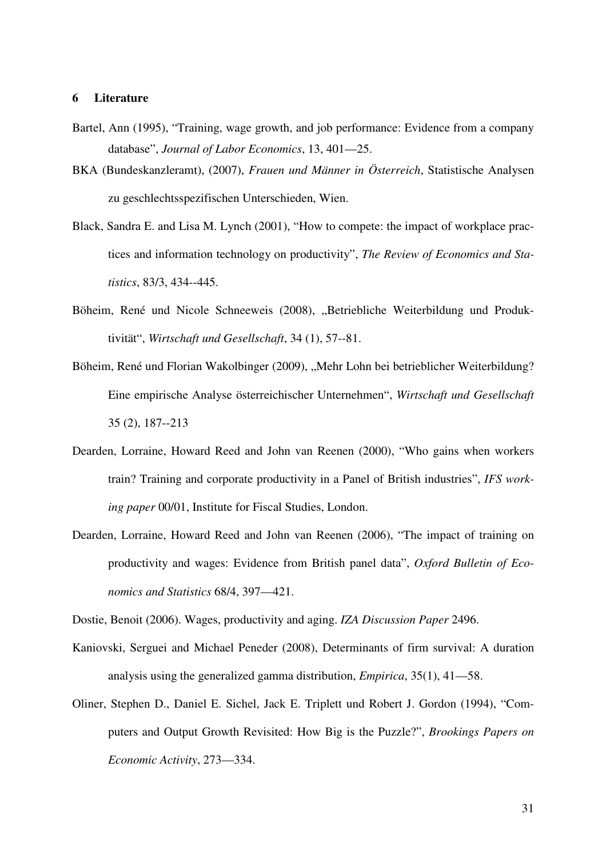### **6 Literature**

- Bartel, Ann (1995), "Training, wage growth, and job performance: Evidence from a company database", *Journal of Labor Economics*, 13, 401—25.
- BKA (Bundeskanzleramt), (2007), *Frauen und Männer in Österreich*, Statistische Analysen zu geschlechtsspezifischen Unterschieden, Wien.
- Black, Sandra E. and Lisa M. Lynch (2001), "How to compete: the impact of workplace practices and information technology on productivity", *The Review of Economics and Statistics*, 83/3, 434--445.
- Böheim, René und Nicole Schneeweis (2008), "Betriebliche Weiterbildung und Produktivität", *Wirtschaft und Gesellschaft*, 34 (1), 57--81.
- Böheim, René und Florian Wakolbinger (2009), "Mehr Lohn bei betrieblicher Weiterbildung? Eine empirische Analyse österreichischer Unternehmen", *Wirtschaft und Gesellschaft* 35 (2), 187--213
- Dearden, Lorraine, Howard Reed and John van Reenen (2000), "Who gains when workers train? Training and corporate productivity in a Panel of British industries", *IFS working paper* 00/01, Institute for Fiscal Studies, London.
- Dearden, Lorraine, Howard Reed and John van Reenen (2006), "The impact of training on productivity and wages: Evidence from British panel data", *Oxford Bulletin of Economics and Statistics* 68/4, 397—421.

Dostie, Benoit (2006). Wages, productivity and aging. *IZA Discussion Paper* 2496.

- Kaniovski, Serguei and Michael Peneder (2008), Determinants of firm survival: A duration analysis using the generalized gamma distribution, *Empirica*, 35(1), 41—58.
- Oliner, Stephen D., Daniel E. Sichel, Jack E. Triplett und Robert J. Gordon (1994), "Computers and Output Growth Revisited: How Big is the Puzzle?", *Brookings Papers on Economic Activity*, 273—334.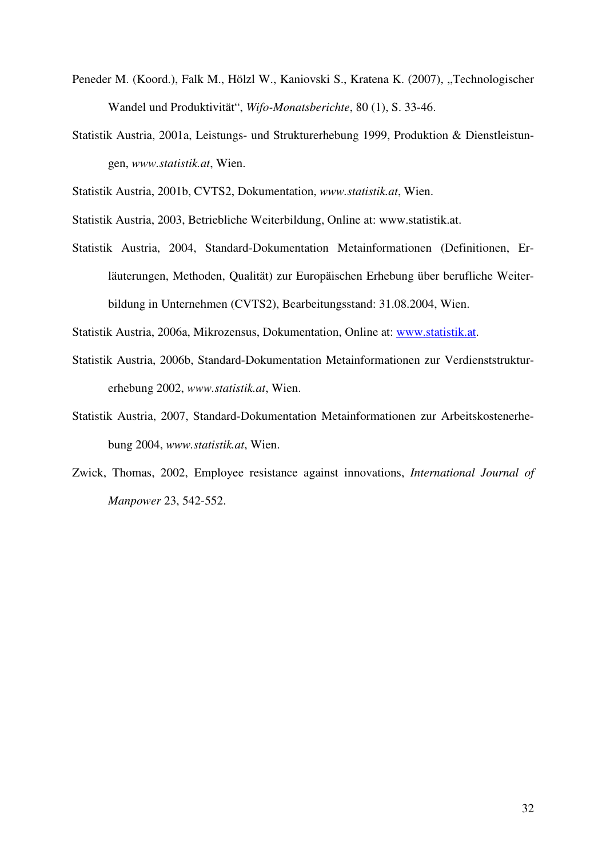- Peneder M. (Koord.), Falk M., Hölzl W., Kaniovski S., Kratena K. (2007), "Technologischer Wandel und Produktivität", *Wifo-Monatsberichte*, 80 (1), S. 33-46.
- Statistik Austria, 2001a, Leistungs- und Strukturerhebung 1999, Produktion & Dienstleistungen, *www.statistik.at*, Wien.

Statistik Austria, 2001b, CVTS2, Dokumentation, *www.statistik.at*, Wien.

Statistik Austria, 2003, Betriebliche Weiterbildung, Online at: www.statistik.at.

Statistik Austria, 2004, Standard-Dokumentation Metainformationen (Definitionen, Erläuterungen, Methoden, Qualität) zur Europäischen Erhebung über berufliche Weiterbildung in Unternehmen (CVTS2), Bearbeitungsstand: 31.08.2004, Wien.

Statistik Austria, 2006a, Mikrozensus, Dokumentation, Online at: www.statistik.at.

- Statistik Austria, 2006b, Standard-Dokumentation Metainformationen zur Verdienststrukturerhebung 2002, *www.statistik.at*, Wien.
- Statistik Austria, 2007, Standard-Dokumentation Metainformationen zur Arbeitskostenerhebung 2004, *www.statistik.at*, Wien.
- Zwick, Thomas, 2002, Employee resistance against innovations, *International Journal of Manpower* 23, 542-552.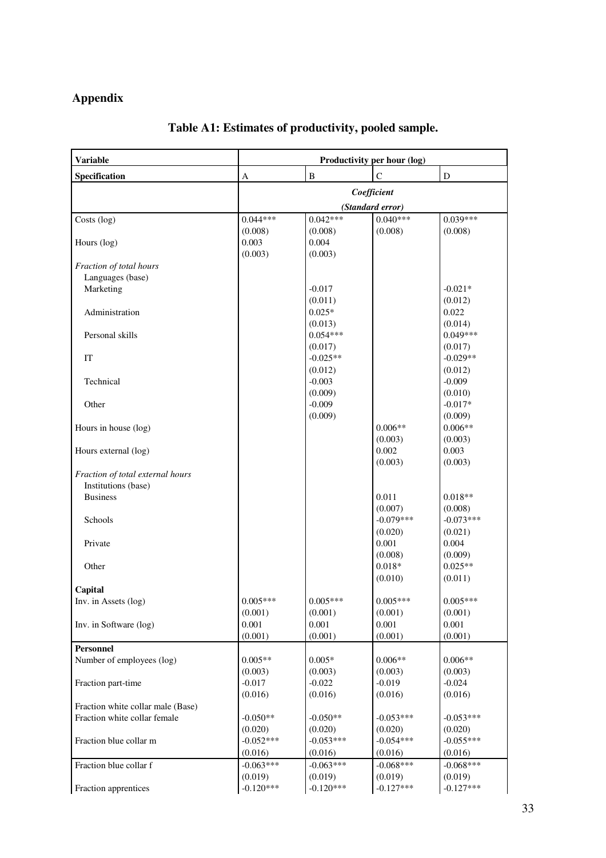# **Appendix**

| <b>Variable</b>                                                   | Productivity per hour (log)     |                        |                        |                        |  |  |
|-------------------------------------------------------------------|---------------------------------|------------------------|------------------------|------------------------|--|--|
| Specification                                                     | A                               | $\, {\bf B}$           | $\mathsf{C}$           | D                      |  |  |
|                                                                   | Coefficient<br>(Standard error) |                        |                        |                        |  |  |
|                                                                   |                                 |                        |                        |                        |  |  |
| Costs (log)                                                       | $0.044***$                      | $0.042***$             | $0.040***$             | $0.039***$             |  |  |
|                                                                   | (0.008)                         | (0.008)                | (0.008)                | (0.008)                |  |  |
| Hours (log)                                                       | 0.003                           | 0.004                  |                        |                        |  |  |
|                                                                   | (0.003)                         | (0.003)                |                        |                        |  |  |
| Fraction of total hours                                           |                                 |                        |                        |                        |  |  |
| Languages (base)                                                  |                                 |                        |                        |                        |  |  |
| Marketing                                                         |                                 | $-0.017$               |                        | $-0.021*$              |  |  |
|                                                                   |                                 | (0.011)                |                        | (0.012)                |  |  |
| Administration                                                    |                                 | $0.025*$               |                        | 0.022                  |  |  |
|                                                                   |                                 | (0.013)                |                        | (0.014)                |  |  |
| Personal skills                                                   |                                 | $0.054***$             |                        | $0.049***$             |  |  |
|                                                                   |                                 | (0.017)                |                        | (0.017)                |  |  |
| IT                                                                |                                 | $-0.025**$             |                        | $-0.029**$             |  |  |
| Technical                                                         |                                 | (0.012)<br>$-0.003$    |                        | (0.012)<br>$-0.009$    |  |  |
|                                                                   |                                 | (0.009)                |                        | (0.010)                |  |  |
| Other                                                             |                                 | $-0.009$               |                        | $-0.017*$              |  |  |
|                                                                   |                                 | (0.009)                |                        | (0.009)                |  |  |
| Hours in house (log)                                              |                                 |                        | $0.006**$              | $0.006**$              |  |  |
|                                                                   |                                 |                        | (0.003)                | (0.003)                |  |  |
| Hours external (log)                                              |                                 |                        | 0.002                  | 0.003                  |  |  |
|                                                                   |                                 |                        | (0.003)                | (0.003)                |  |  |
| Fraction of total external hours                                  |                                 |                        |                        |                        |  |  |
| Institutions (base)                                               |                                 |                        |                        |                        |  |  |
| <b>Business</b>                                                   |                                 |                        | 0.011                  | $0.018**$              |  |  |
|                                                                   |                                 |                        | (0.007)                | (0.008)                |  |  |
| Schools                                                           |                                 |                        | $-0.079***$            | $-0.073***$            |  |  |
|                                                                   |                                 |                        | (0.020)                | (0.021)                |  |  |
| Private                                                           |                                 |                        | 0.001                  | 0.004                  |  |  |
|                                                                   |                                 |                        | (0.008)                | (0.009)                |  |  |
| Other                                                             |                                 |                        | $0.018*$               | $0.025**$              |  |  |
|                                                                   |                                 |                        | (0.010)                | (0.011)                |  |  |
| Capital                                                           |                                 |                        |                        |                        |  |  |
| Inv. in Assets (log)                                              | $0.005***$                      | $0.005***$             | $0.005***$             | $0.005***$             |  |  |
|                                                                   | (0.001)                         | (0.001)                | (0.001)                | (0.001)                |  |  |
| Inv. in Software (log)                                            | 0.001                           | 0.001                  | 0.001                  | 0.001                  |  |  |
|                                                                   | (0.001)                         | (0.001)                | (0.001)                | (0.001)                |  |  |
| Personnel                                                         |                                 |                        |                        |                        |  |  |
| Number of employees (log)                                         | $0.005**$                       | $0.005*$               | $0.006**$              | $0.006**$              |  |  |
|                                                                   | (0.003)                         | (0.003)                | (0.003)                | (0.003)                |  |  |
| Fraction part-time                                                | $-0.017$                        | $-0.022$               | $-0.019$               | $-0.024$               |  |  |
|                                                                   | (0.016)                         | (0.016)                | (0.016)                | (0.016)                |  |  |
| Fraction white collar male (Base)<br>Fraction white collar female | $-0.050**$                      | $-0.050**$             | $-0.053***$            | $-0.053***$            |  |  |
|                                                                   |                                 |                        |                        |                        |  |  |
| Fraction blue collar m                                            | (0.020)<br>$-0.052***$          | (0.020)<br>$-0.053***$ | (0.020)<br>$-0.054***$ | (0.020)<br>$-0.055***$ |  |  |
|                                                                   |                                 | (0.016)                | (0.016)                |                        |  |  |
|                                                                   | (0.016)<br>$-0.063***$          | $-0.063***$            | $-0.068***$            | (0.016)<br>$-0.068***$ |  |  |
| Fraction blue collar f                                            |                                 |                        |                        |                        |  |  |
| Fraction apprentices                                              | (0.019)<br>$-0.120***$          | (0.019)<br>$-0.120***$ | (0.019)<br>$-0.127***$ | (0.019)<br>$-0.127***$ |  |  |
|                                                                   |                                 |                        |                        |                        |  |  |

# **Table A1: Estimates of productivity, pooled sample.**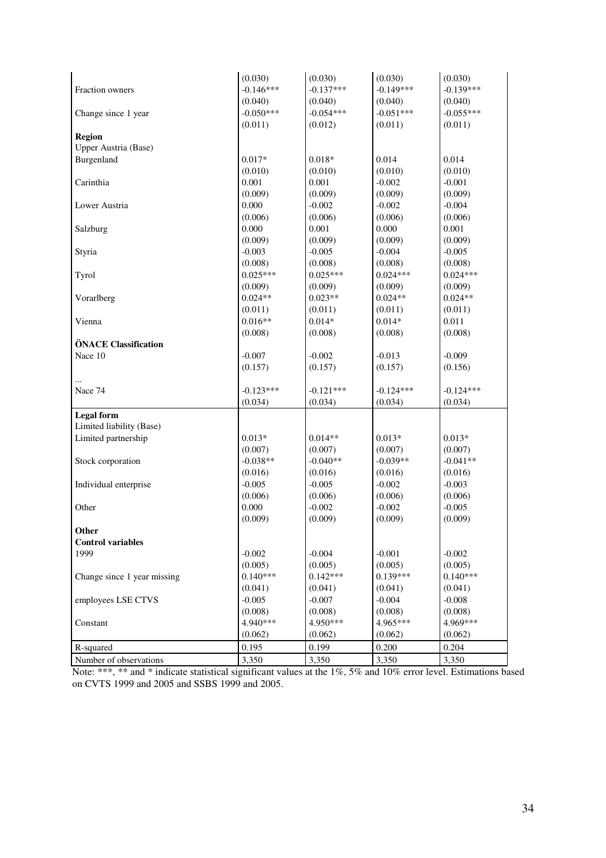|                             | (0.030)     | (0.030)     | (0.030)     | (0.030)     |
|-----------------------------|-------------|-------------|-------------|-------------|
| Fraction owners             | $-0.146***$ | $-0.137***$ | $-0.149***$ | $-0.139***$ |
|                             | (0.040)     | (0.040)     | (0.040)     | (0.040)     |
| Change since 1 year         | $-0.050***$ | $-0.054***$ | $-0.051***$ | $-0.055***$ |
|                             | (0.011)     | (0.012)     | (0.011)     | (0.011)     |
| Region                      |             |             |             |             |
| Upper Austria (Base)        |             |             |             |             |
| Burgenland                  | $0.017*$    | $0.018*$    | 0.014       | 0.014       |
|                             | (0.010)     | (0.010)     | (0.010)     | (0.010)     |
| Carinthia                   | 0.001       | 0.001       | $-0.002$    | $-0.001$    |
|                             | (0.009)     | (0.009)     | (0.009)     | (0.009)     |
| Lower Austria               | 0.000       | $-0.002$    | $-0.002$    | $-0.004$    |
|                             | (0.006)     | (0.006)     | (0.006)     | (0.006)     |
| Salzburg                    | 0.000       | 0.001       | 0.000       | 0.001       |
|                             | (0.009)     | (0.009)     | (0.009)     | (0.009)     |
| Styria                      | $-0.003$    | $-0.005$    | $-0.004$    | $-0.005$    |
|                             | (0.008)     | (0.008)     | (0.008)     | (0.008)     |
| Tyrol                       | $0.025***$  | $0.025***$  | $0.024***$  | $0.024***$  |
|                             | (0.009)     | (0.009)     | (0.009)     | (0.009)     |
| Vorarlberg                  | $0.024**$   | $0.023**$   | $0.024**$   | $0.024**$   |
|                             | (0.011)     | (0.011)     | (0.011)     | (0.011)     |
| Vienna                      | $0.016**$   | $0.014*$    | $0.014*$    | 0.011       |
|                             | (0.008)     | (0.008)     | (0.008)     | (0.008)     |
| ÖNACE Classification        |             |             |             |             |
| Nace 10                     | $-0.007$    | $-0.002$    | $-0.013$    | $-0.009$    |
|                             | (0.157)     | (0.157)     | (0.157)     | (0.156)     |
|                             |             |             |             |             |
| Nace 74                     | $-0.123***$ | $-0.121***$ | $-0.124***$ | $-0.124***$ |
|                             | (0.034)     | (0.034)     | (0.034)     | (0.034)     |
|                             |             |             |             |             |
| <b>Legal</b> form           |             |             |             |             |
| Limited liability (Base)    |             |             |             |             |
| Limited partnership         | $0.013*$    | $0.014**$   | $0.013*$    | $0.013*$    |
|                             | (0.007)     | (0.007)     | (0.007)     | (0.007)     |
| Stock corporation           | $-0.038**$  | $-0.040**$  | $-0.039**$  | $-0.041**$  |
|                             | (0.016)     | (0.016)     | (0.016)     | (0.016)     |
| Individual enterprise       | $-0.005$    | $-0.005$    | $-0.002$    | $-0.003$    |
|                             | (0.006)     | (0.006)     | (0.006)     | (0.006)     |
| Other                       | 0.000       | $-0.002$    | $-0.002$    | $-0.005$    |
|                             | (0.009)     | (0.009)     | (0.009)     | (0.009)     |
| Other                       |             |             |             |             |
| <b>Control variables</b>    |             |             |             |             |
| 1999                        | $-0.002$    | $-0.004$    | $-0.001$    | $-0.002$    |
|                             | (0.005)     | (0.005)     | (0.005)     | (0.005)     |
| Change since 1 year missing | $0.140***$  | $0.142***$  | $0.139***$  | $0.140***$  |
|                             | (0.041)     | (0.041)     | (0.041)     | (0.041)     |
| employees LSE CTVS          | $-0.005$    | $-0.007$    | $-0.004$    | $-0.008$    |
|                             | (0.008)     | (0.008)     | (0.008)     | (0.008)     |
| Constant                    | 4.940***    | 4.950***    | 4.965***    | 4.969***    |
|                             | (0.062)     | (0.062)     | (0.062)     | (0.062)     |
| R-squared                   | 0.195       | 0.199       | 0.200       | 0.204       |
| Number of observations      | 3,350       | 3,350       | 3,350       | 3,350       |
|                             |             |             |             |             |

Note: \*\*\*, \*\* and \* indicate statistical significant values at the 1%, 5% and 10% error level. Estimations based on CVTS 1999 and 2005 and SSBS 1999 and 2005.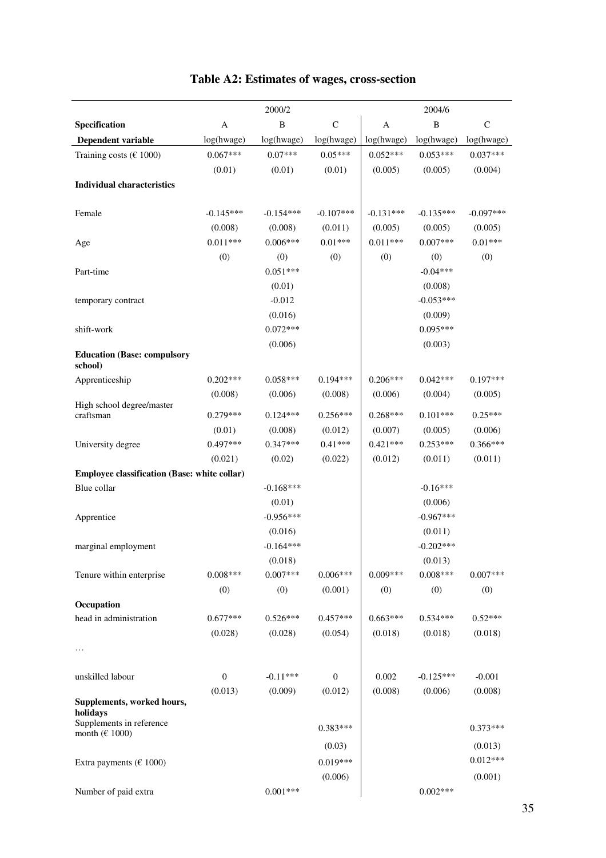|                                              | 2000/2       |              |                  | 2004/6      |              |             |  |
|----------------------------------------------|--------------|--------------|------------------|-------------|--------------|-------------|--|
| Specification                                | A            | $\, {\bf B}$ | $\mathsf{C}$     | A           | $\, {\bf B}$ | $\mathbf C$ |  |
| Dependent variable                           | log(hwage)   | log(hwage)   | log(hwage)       | log(hwage)  | log(hwage)   | log(hwage)  |  |
| Training costs ( $\in$ 1000)                 | $0.067***$   | $0.07***$    | $0.05***$        | $0.052***$  | $0.053***$   | $0.037***$  |  |
|                                              | (0.01)       | (0.01)       | (0.01)           | (0.005)     | (0.005)      | (0.004)     |  |
| <b>Individual characteristics</b>            |              |              |                  |             |              |             |  |
|                                              |              |              |                  |             |              |             |  |
| Female                                       | $-0.145***$  | $-0.154***$  | $-0.107***$      | $-0.131***$ | $-0.135***$  | $-0.097***$ |  |
|                                              | (0.008)      | (0.008)      | (0.011)          | (0.005)     | (0.005)      | (0.005)     |  |
| Age                                          | $0.011***$   | $0.006***$   | $0.01***$        | $0.011***$  | $0.007***$   | $0.01***$   |  |
|                                              | (0)          | (0)          | (0)              | (0)         | (0)          | (0)         |  |
| Part-time                                    |              | $0.051***$   |                  |             | $-0.04***$   |             |  |
|                                              |              | (0.01)       |                  |             | (0.008)      |             |  |
| temporary contract                           |              | $-0.012$     |                  |             | $-0.053***$  |             |  |
|                                              |              | (0.016)      |                  |             | (0.009)      |             |  |
| shift-work                                   |              | $0.072***$   |                  |             | $0.095***$   |             |  |
| <b>Education (Base: compulsory</b>           |              | (0.006)      |                  |             | (0.003)      |             |  |
| school)                                      |              |              |                  |             |              |             |  |
| Apprenticeship                               | $0.202***$   | $0.058***$   | $0.194***$       | $0.206***$  | $0.042***$   | $0.197***$  |  |
|                                              | (0.008)      | (0.006)      | (0.008)          | (0.006)     | (0.004)      | (0.005)     |  |
| High school degree/master<br>craftsman       | $0.279***$   | $0.124***$   | $0.256***$       | $0.268***$  | $0.101***$   | $0.25***$   |  |
|                                              | (0.01)       | (0.008)      | (0.012)          | (0.007)     | (0.005)      | (0.006)     |  |
| University degree                            | $0.497***$   | $0.347***$   | $0.41***$        | $0.421***$  | $0.253***$   | $0.366***$  |  |
|                                              | (0.021)      | (0.02)       | (0.022)          | (0.012)     | (0.011)      | (0.011)     |  |
| Employee classification (Base: white collar) |              |              |                  |             |              |             |  |
| Blue collar                                  |              | $-0.168***$  |                  |             | $-0.16***$   |             |  |
|                                              |              | (0.01)       |                  |             | (0.006)      |             |  |
| Apprentice                                   |              | $-0.956***$  |                  |             | $-0.967***$  |             |  |
|                                              |              | (0.016)      |                  |             | (0.011)      |             |  |
| marginal employment                          |              | $-0.164***$  |                  |             | $-0.202***$  |             |  |
|                                              |              | (0.018)      |                  |             | (0.013)      |             |  |
| Tenure within enterprise                     | $0.008***$   | $0.007***$   | $0.006***$       | $0.009***$  | $0.008***$   | $0.007***$  |  |
|                                              | (0)          | (0)          | (0.001)          | (0)         | (0)          | (0)         |  |
| Occupation                                   |              |              |                  |             |              |             |  |
| head in administration                       | $0.677***$   | $0.526***$   | $0.457***$       | $0.663***$  | $0.534***$   | $0.52***$   |  |
|                                              | (0.028)      | (0.028)      | (0.054)          | (0.018)     | (0.018)      | (0.018)     |  |
| .                                            |              |              |                  |             |              |             |  |
| unskilled labour                             | $\mathbf{0}$ | $-0.11***$   | $\boldsymbol{0}$ | 0.002       | $-0.125***$  | $-0.001$    |  |
|                                              | (0.013)      | (0.009)      | (0.012)          | (0.008)     | (0.006)      | (0.008)     |  |
| Supplements, worked hours,                   |              |              |                  |             |              |             |  |
| holidays<br>Supplements in reference         |              |              |                  |             |              |             |  |
| month ( $€1000$ )                            |              |              | $0.383***$       |             |              | $0.373***$  |  |
|                                              |              |              | (0.03)           |             |              | (0.013)     |  |
| Extra payments ( $\epsilon$ 1000)            |              |              | $0.019***$       |             |              | $0.012***$  |  |
|                                              |              |              | (0.006)          |             |              | (0.001)     |  |
| Number of paid extra                         |              | $0.001***$   |                  |             | $0.002***$   |             |  |

# **Table A2: Estimates of wages, cross-section**